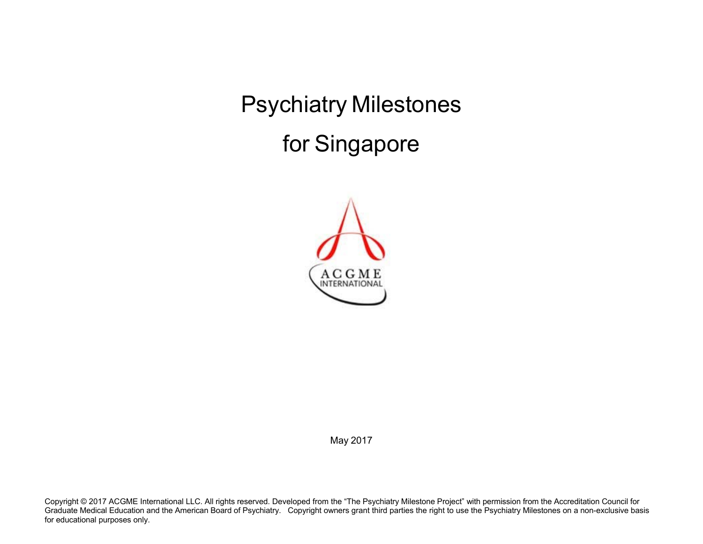Psychiatry Milestones for Singapore



May 2017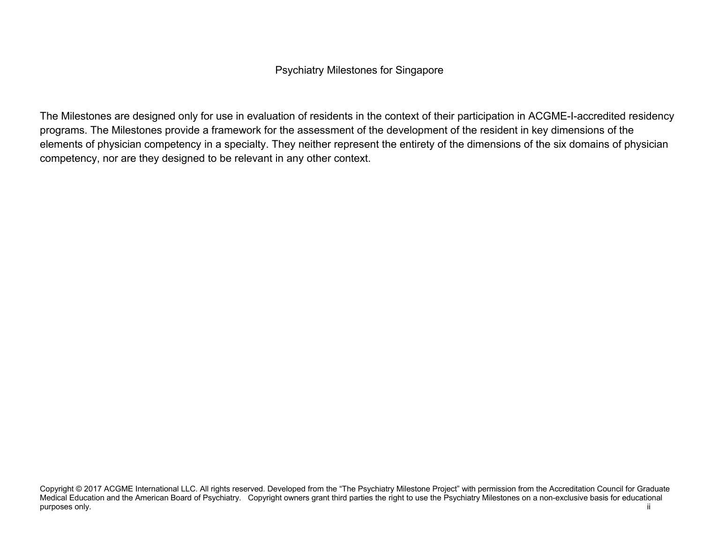## Psychiatry Milestones for Singapore

The Milestones are designed only for use in evaluation of residents in the context of their participation in ACGME-I-accredited residency programs. The Milestones provide a framework for the assessment of the development of the resident in key dimensions of the elements of physician competency in a specialty. They neither represent the entirety of the dimensions of the six domains of physician competency, nor are they designed to be relevant in any other context.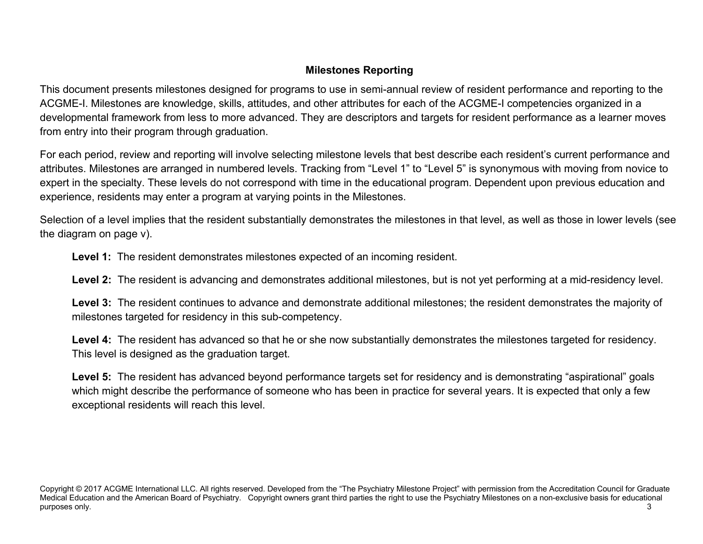# **Milestones Reporting**

This document presents milestones designed for programs to use in semi-annual review of resident performance and reporting to the ACGME-I. Milestones are knowledge, skills, attitudes, and other attributes for each of the ACGME-I competencies organized in a developmental framework from less to more advanced. They are descriptors and targets for resident performance as a learner moves from entry into their program through graduation.

For each period, review and reporting will involve selecting milestone levels that best describe each resident's current performance and attributes. Milestones are arranged in numbered levels. Tracking from "Level 1" to "Level 5" is synonymous with moving from novice to expert in the specialty. These levels do not correspond with time in the educational program. Dependent upon previous education and experience, residents may enter a program at varying points in the Milestones.

Selection of a level implies that the resident substantially demonstrates the milestones in that level, as well as those in lower levels (see the diagram on page v).

**Level 1:** The resident demonstrates milestones expected of an incoming resident.

**Level 2:** The resident is advancing and demonstrates additional milestones, but is not yet performing at a mid-residency level.

**Level 3:** The resident continues to advance and demonstrate additional milestones; the resident demonstrates the majority of milestones targeted for residency in this sub-competency.

**Level 4:** The resident has advanced so that he or she now substantially demonstrates the milestones targeted for residency. This level is designed as the graduation target.

Level 5: The resident has advanced beyond performance targets set for residency and is demonstrating "aspirational" goals which might describe the performance of someone who has been in practice for several years. It is expected that only a few exceptional residents will reach this level.

Copyright © 2017 ACGME International LLC. All rights reserved. Developed from the "The Psychiatry Milestone Project" with permission from the Accreditation Council for Graduate Medical Education and the American Board of Psychiatry. Copyright owners grant third parties the right to use the Psychiatry Milestones on a non-exclusive basis for educational purposes only. 3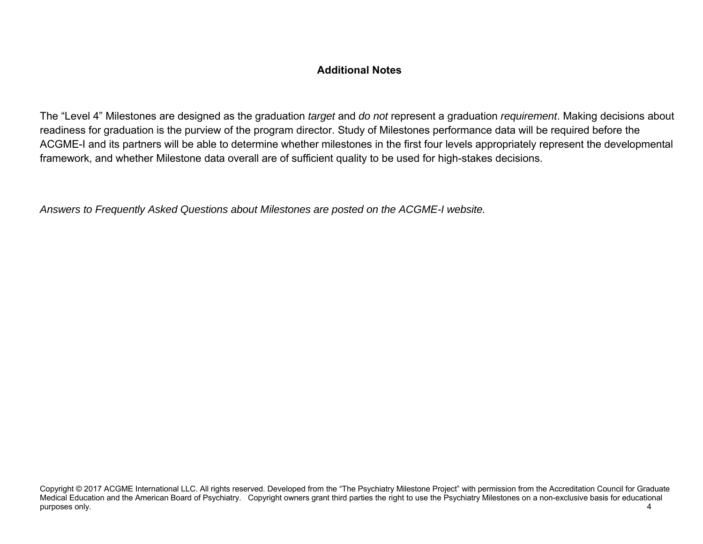# **Additional Notes**

The "Level 4" Milestones are designed as the graduation *target* and *do not* represent a graduation *requirement*. Making decisions about readiness for graduation is the purview of the program director. Study of Milestones performance data will be required before the ACGME-I and its partners will be able to determine whether milestones in the first four levels appropriately represent the developmental framework, and whether Milestone data overall are of sufficient quality to be used for high-stakes decisions.

*Answers to Frequently Asked Questions about Milestones are posted on the ACGME-I website.*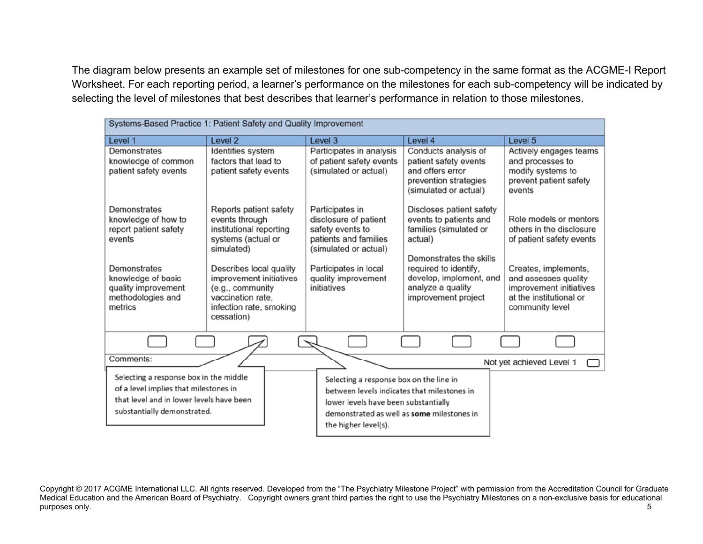The diagram below presents an example set of milestones for one sub-competency in the same format as the ACGME-I Report Worksheet. For each reporting period, a learner's performance on the milestones for each sub-competency will be indicated by selecting the level of milestones that best describes that learner's performance in relation to those milestones.

| Systems-Based Practice 1: Patient Safety and Quality Improvement                                                                                           |                                                                                                                                      |                                                                                                                                                                                                      |                                                                                                                     |                                                                                                                       |  |
|------------------------------------------------------------------------------------------------------------------------------------------------------------|--------------------------------------------------------------------------------------------------------------------------------------|------------------------------------------------------------------------------------------------------------------------------------------------------------------------------------------------------|---------------------------------------------------------------------------------------------------------------------|-----------------------------------------------------------------------------------------------------------------------|--|
| Level 1                                                                                                                                                    | Level 2                                                                                                                              | Level 3                                                                                                                                                                                              | Level 4                                                                                                             | Level 5                                                                                                               |  |
| Demonstrates<br>knowledge of common<br>patient safety events                                                                                               | Identifies system<br>factors that lead to<br>patient safety events                                                                   | Participates in analysis<br>of patient safety events<br>(simulated or actual)                                                                                                                        | Conducts analysis of<br>patient safety events<br>and offers error<br>prevention strategies<br>(simulated or actual) | Actively engages teams<br>and processes to<br>modify systems to<br>prevent patient safety<br>events                   |  |
| <b>Demonstrates</b><br>knowledge of how to<br>report patient safety<br>events                                                                              | Reports patient safety<br>events through<br>institutional reporting<br>systems (actual or<br>simulated)                              | Participates in<br>disclosure of patient<br>safety events to<br>patients and families<br>(simulated or actual)                                                                                       | Discloses patient safety<br>events to patients and<br>families (simulated or<br>actual)<br>Demonstrates the skills  | Role models or mentors<br>others in the disclosure<br>of patient safety events                                        |  |
| Demonstrates<br>knowledge of basic<br>quality improvement<br>methodologies and<br>metrics                                                                  | Describes local quality<br>improvement initiatives<br>(e.g., community<br>vaccination rate,<br>infection rate, smoking<br>cessation) | Participates in local<br>quality improvement<br>initiatives                                                                                                                                          | required to identify,<br>develop, implement, and<br>analyze a quality<br>improvement project                        | Creates, implements,<br>and assesses quality<br>improvement initiatives<br>at the institutional or<br>community level |  |
|                                                                                                                                                            |                                                                                                                                      |                                                                                                                                                                                                      |                                                                                                                     |                                                                                                                       |  |
| Comments:                                                                                                                                                  |                                                                                                                                      |                                                                                                                                                                                                      |                                                                                                                     | Not yet achieved Level 1                                                                                              |  |
| Selecting a response box in the middle<br>of a level implies that milestones in<br>that level and in lower levels have been<br>substantially demonstrated. |                                                                                                                                      | Selecting a response box on the line in<br>between levels indicates that milestones in<br>lower levels have been substantially<br>demonstrated as well as some milestones in<br>the higher level(s). |                                                                                                                     |                                                                                                                       |  |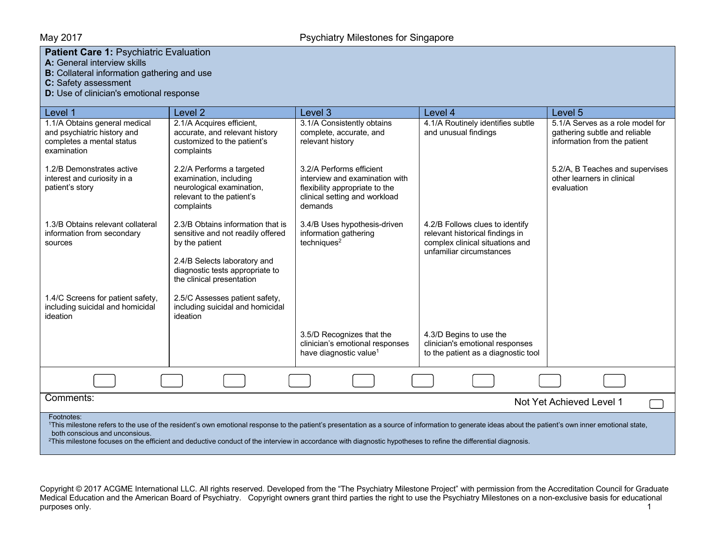### **Patient Care 1: Psychiatric Evaluation**

**A:** General interview skills

**B:** Collateral information gathering and use

**C:** Safety assessment

**D:** Use of clinician's emotional response

| Level 1                                                                                                                                                                                                                                                                                                                                                                                                                           | Level 2                                                                                                                     | Level 3                                                                                                                                  | Level 4                                                                                                                           | Level 5                                                                                           |
|-----------------------------------------------------------------------------------------------------------------------------------------------------------------------------------------------------------------------------------------------------------------------------------------------------------------------------------------------------------------------------------------------------------------------------------|-----------------------------------------------------------------------------------------------------------------------------|------------------------------------------------------------------------------------------------------------------------------------------|-----------------------------------------------------------------------------------------------------------------------------------|---------------------------------------------------------------------------------------------------|
| 1.1/A Obtains general medical<br>and psychiatric history and<br>completes a mental status<br>examination                                                                                                                                                                                                                                                                                                                          | 2.1/A Acquires efficient,<br>accurate, and relevant history<br>customized to the patient's<br>complaints                    | 3.1/A Consistently obtains<br>complete, accurate, and<br>relevant history                                                                | 4.1/A Routinely identifies subtle<br>and unusual findings                                                                         | 5.1/A Serves as a role model for<br>gathering subtle and reliable<br>information from the patient |
| 1.2/B Demonstrates active<br>interest and curiosity in a<br>patient's story                                                                                                                                                                                                                                                                                                                                                       | 2.2/A Performs a targeted<br>examination, including<br>neurological examination,<br>relevant to the patient's<br>complaints | 3.2/A Performs efficient<br>interview and examination with<br>flexibility appropriate to the<br>clinical setting and workload<br>demands |                                                                                                                                   | 5.2/A, B Teaches and supervises<br>other learners in clinical<br>evaluation                       |
| 1.3/B Obtains relevant collateral<br>information from secondary<br>sources                                                                                                                                                                                                                                                                                                                                                        | 2.3/B Obtains information that is<br>sensitive and not readily offered<br>by the patient                                    | 3.4/B Uses hypothesis-driven<br>information gathering<br>techniques <sup>2</sup>                                                         | 4.2/B Follows clues to identify<br>relevant historical findings in<br>complex clinical situations and<br>unfamiliar circumstances |                                                                                                   |
|                                                                                                                                                                                                                                                                                                                                                                                                                                   | 2.4/B Selects laboratory and<br>diagnostic tests appropriate to<br>the clinical presentation                                |                                                                                                                                          |                                                                                                                                   |                                                                                                   |
| 1.4/C Screens for patient safety,<br>including suicidal and homicidal<br>ideation                                                                                                                                                                                                                                                                                                                                                 | 2.5/C Assesses patient safety,<br>including suicidal and homicidal<br>ideation                                              |                                                                                                                                          |                                                                                                                                   |                                                                                                   |
|                                                                                                                                                                                                                                                                                                                                                                                                                                   |                                                                                                                             | 3.5/D Recognizes that the<br>clinician's emotional responses<br>have diagnostic value <sup>1</sup>                                       | 4.3/D Begins to use the<br>clinician's emotional responses<br>to the patient as a diagnostic tool                                 |                                                                                                   |
|                                                                                                                                                                                                                                                                                                                                                                                                                                   |                                                                                                                             |                                                                                                                                          |                                                                                                                                   |                                                                                                   |
| Comments:<br>Not Yet Achieved Level 1                                                                                                                                                                                                                                                                                                                                                                                             |                                                                                                                             |                                                                                                                                          |                                                                                                                                   |                                                                                                   |
| Footnotes:<br>This milestone refers to the use of the resident's own emotional response to the patient's presentation as a source of information to generate ideas about the patient's own inner emotional state,<br>both conscious and unconsious.<br><sup>2</sup> This milestone focuses on the efficient and deductive conduct of the interview in accordance with diagnostic hypotheses to refine the differential diagnosis. |                                                                                                                             |                                                                                                                                          |                                                                                                                                   |                                                                                                   |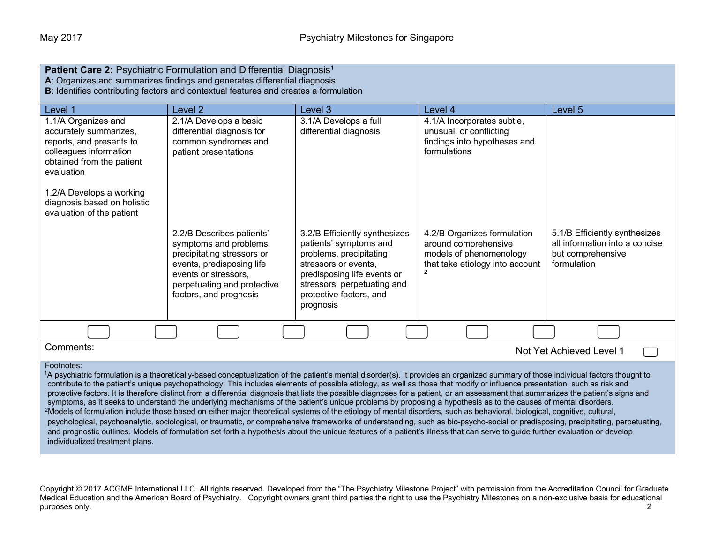| Patient Care 2: Psychiatric Formulation and Differential Diagnosis <sup>1</sup><br>A: Organizes and summarizes findings and generates differential diagnosis<br>B: Identifies contributing factors and contextual features and creates a formulation                                                                                                                                                                                                                                                                                                                                                                                                                                                                                                                                                                                                                                                                                                                                                                                                                                                                                                                                                                                                                                                                                               |                                                                                                                                                                                                 |                                                                                                                                                                                                                  |                                                                                                                        |                                                                                                     |
|----------------------------------------------------------------------------------------------------------------------------------------------------------------------------------------------------------------------------------------------------------------------------------------------------------------------------------------------------------------------------------------------------------------------------------------------------------------------------------------------------------------------------------------------------------------------------------------------------------------------------------------------------------------------------------------------------------------------------------------------------------------------------------------------------------------------------------------------------------------------------------------------------------------------------------------------------------------------------------------------------------------------------------------------------------------------------------------------------------------------------------------------------------------------------------------------------------------------------------------------------------------------------------------------------------------------------------------------------|-------------------------------------------------------------------------------------------------------------------------------------------------------------------------------------------------|------------------------------------------------------------------------------------------------------------------------------------------------------------------------------------------------------------------|------------------------------------------------------------------------------------------------------------------------|-----------------------------------------------------------------------------------------------------|
| Level 1                                                                                                                                                                                                                                                                                                                                                                                                                                                                                                                                                                                                                                                                                                                                                                                                                                                                                                                                                                                                                                                                                                                                                                                                                                                                                                                                            | Level 2                                                                                                                                                                                         | Level 3                                                                                                                                                                                                          | Level 4                                                                                                                | Level 5                                                                                             |
| 1.1/A Organizes and<br>accurately summarizes,<br>reports, and presents to<br>colleagues information<br>obtained from the patient<br>evaluation                                                                                                                                                                                                                                                                                                                                                                                                                                                                                                                                                                                                                                                                                                                                                                                                                                                                                                                                                                                                                                                                                                                                                                                                     | 2.1/A Develops a basic<br>differential diagnosis for<br>common syndromes and<br>patient presentations                                                                                           | 3.1/A Develops a full<br>differential diagnosis                                                                                                                                                                  | 4.1/A Incorporates subtle,<br>unusual, or conflicting<br>findings into hypotheses and<br>formulations                  |                                                                                                     |
| 1.2/A Develops a working<br>diagnosis based on holistic<br>evaluation of the patient                                                                                                                                                                                                                                                                                                                                                                                                                                                                                                                                                                                                                                                                                                                                                                                                                                                                                                                                                                                                                                                                                                                                                                                                                                                               |                                                                                                                                                                                                 |                                                                                                                                                                                                                  |                                                                                                                        |                                                                                                     |
|                                                                                                                                                                                                                                                                                                                                                                                                                                                                                                                                                                                                                                                                                                                                                                                                                                                                                                                                                                                                                                                                                                                                                                                                                                                                                                                                                    | 2.2/B Describes patients'<br>symptoms and problems,<br>precipitating stressors or<br>events, predisposing life<br>events or stressors,<br>perpetuating and protective<br>factors, and prognosis | 3.2/B Efficiently synthesizes<br>patients' symptoms and<br>problems, precipitating<br>stressors or events,<br>predisposing life events or<br>stressors, perpetuating and<br>protective factors, and<br>prognosis | 4.2/B Organizes formulation<br>around comprehensive<br>models of phenomenology<br>that take etiology into account<br>2 | 5.1/B Efficiently synthesizes<br>all information into a concise<br>but comprehensive<br>formulation |
|                                                                                                                                                                                                                                                                                                                                                                                                                                                                                                                                                                                                                                                                                                                                                                                                                                                                                                                                                                                                                                                                                                                                                                                                                                                                                                                                                    |                                                                                                                                                                                                 |                                                                                                                                                                                                                  |                                                                                                                        |                                                                                                     |
| Comments:                                                                                                                                                                                                                                                                                                                                                                                                                                                                                                                                                                                                                                                                                                                                                                                                                                                                                                                                                                                                                                                                                                                                                                                                                                                                                                                                          |                                                                                                                                                                                                 |                                                                                                                                                                                                                  |                                                                                                                        | Not Yet Achieved Level 1                                                                            |
| Footnotes:<br><sup>1</sup> A psychiatric formulation is a theoretically-based conceptualization of the patient's mental disorder(s). It provides an organized summary of those individual factors thought to<br>contribute to the patient's unique psychopathology. This includes elements of possible etiology, as well as those that modify or influence presentation, such as risk and<br>protective factors. It is therefore distinct from a differential diagnosis that lists the possible diagnoses for a patient, or an assessment that summarizes the patient's signs and<br>symptoms, as it seeks to understand the underlying mechanisms of the patient's unique problems by proposing a hypothesis as to the causes of mental disorders.<br><sup>2</sup> Models of formulation include those based on either major theoretical systems of the etiology of mental disorders, such as behavioral, biological, cognitive, cultural,<br>psychological, psychoanalytic, sociological, or traumatic, or comprehensive frameworks of understanding, such as bio-psycho-social or predisposing, precipitating, perpetuating,<br>and prognostic outlines. Models of formulation set forth a hypothesis about the unique features of a patient's illness that can serve to guide further evaluation or develop<br>individualized treatment plans. |                                                                                                                                                                                                 |                                                                                                                                                                                                                  |                                                                                                                        |                                                                                                     |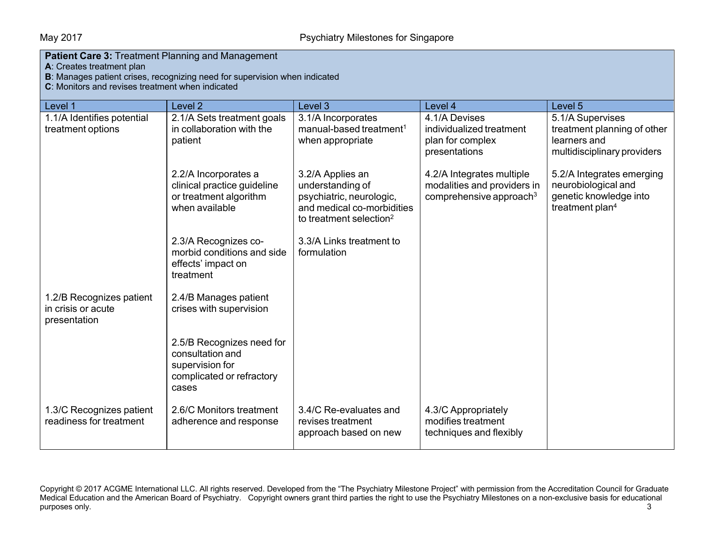## May 2017 May 2017 **Psychiatry Milestones for Singapore**

| <b>Patient Care 3: Treatment Planning and Management</b><br>A: Creates treatment plan<br>B: Manages patient crises, recognizing need for supervision when indicated<br>C: Monitors and revises treatment when indicated |                                                                                                        |                                                                                                                                       |                                                                                        |                                                                                                           |
|-------------------------------------------------------------------------------------------------------------------------------------------------------------------------------------------------------------------------|--------------------------------------------------------------------------------------------------------|---------------------------------------------------------------------------------------------------------------------------------------|----------------------------------------------------------------------------------------|-----------------------------------------------------------------------------------------------------------|
| Level 1                                                                                                                                                                                                                 | Level <sub>2</sub>                                                                                     | Level 3                                                                                                                               | Level 4                                                                                | Level 5                                                                                                   |
| 1.1/A Identifies potential<br>treatment options                                                                                                                                                                         | 2.1/A Sets treatment goals<br>in collaboration with the<br>patient                                     | 3.1/A Incorporates<br>manual-based treatment <sup>1</sup><br>when appropriate                                                         | 4.1/A Devises<br>individualized treatment<br>plan for complex<br>presentations         | 5.1/A Supervises<br>treatment planning of other<br>learners and<br>multidisciplinary providers            |
|                                                                                                                                                                                                                         | 2.2/A Incorporates a<br>clinical practice guideline<br>or treatment algorithm<br>when available        | 3.2/A Applies an<br>understanding of<br>psychiatric, neurologic,<br>and medical co-morbidities<br>to treatment selection <sup>2</sup> | 4.2/A Integrates multiple<br>modalities and providers in<br>comprehensive approach $3$ | 5.2/A Integrates emerging<br>neurobiological and<br>genetic knowledge into<br>treatment plan <sup>4</sup> |
|                                                                                                                                                                                                                         | 2.3/A Recognizes co-<br>morbid conditions and side<br>effects' impact on<br>treatment                  | 3.3/A Links treatment to<br>formulation                                                                                               |                                                                                        |                                                                                                           |
| 1.2/B Recognizes patient<br>in crisis or acute<br>presentation                                                                                                                                                          | 2.4/B Manages patient<br>crises with supervision                                                       |                                                                                                                                       |                                                                                        |                                                                                                           |
|                                                                                                                                                                                                                         | 2.5/B Recognizes need for<br>consultation and<br>supervision for<br>complicated or refractory<br>cases |                                                                                                                                       |                                                                                        |                                                                                                           |
| 1.3/C Recognizes patient<br>readiness for treatment                                                                                                                                                                     | 2.6/C Monitors treatment<br>adherence and response                                                     | 3.4/C Re-evaluates and<br>revises treatment<br>approach based on new                                                                  | 4.3/C Appropriately<br>modifies treatment<br>techniques and flexibly                   |                                                                                                           |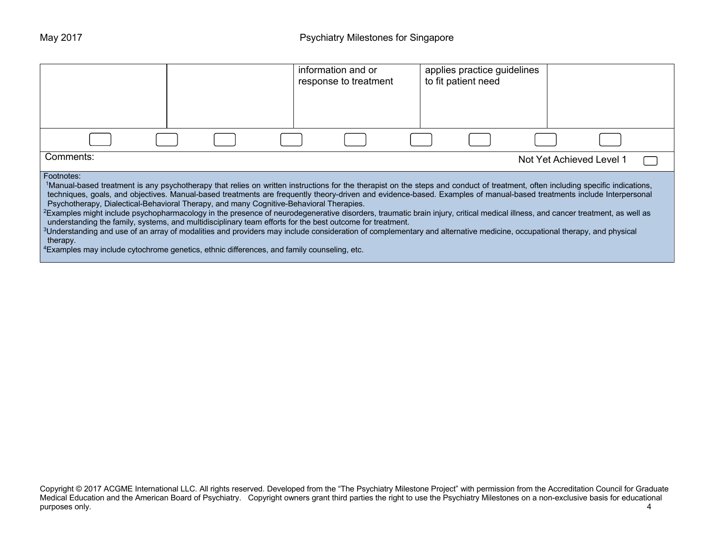|                                                                                                                                                                                                                                                                                                                                                                                                                                                                                                                                                                                                                                                                                                                                                                                                                                                                                                                                                                                                                                                                                         |  | information and or<br>response to treatment | applies practice guidelines<br>to fit patient need |                          |  |
|-----------------------------------------------------------------------------------------------------------------------------------------------------------------------------------------------------------------------------------------------------------------------------------------------------------------------------------------------------------------------------------------------------------------------------------------------------------------------------------------------------------------------------------------------------------------------------------------------------------------------------------------------------------------------------------------------------------------------------------------------------------------------------------------------------------------------------------------------------------------------------------------------------------------------------------------------------------------------------------------------------------------------------------------------------------------------------------------|--|---------------------------------------------|----------------------------------------------------|--------------------------|--|
|                                                                                                                                                                                                                                                                                                                                                                                                                                                                                                                                                                                                                                                                                                                                                                                                                                                                                                                                                                                                                                                                                         |  |                                             |                                                    |                          |  |
| Comments:                                                                                                                                                                                                                                                                                                                                                                                                                                                                                                                                                                                                                                                                                                                                                                                                                                                                                                                                                                                                                                                                               |  |                                             |                                                    | Not Yet Achieved Level 1 |  |
| Footnotes:<br>1Manual-based treatment is any psychotherapy that relies on written instructions for the therapist on the steps and conduct of treatment, often including specific indications,<br>techniques, goals, and objectives. Manual-based treatments are frequently theory-driven and evidence-based. Examples of manual-based treatments include Interpersonal<br>Psychotherapy, Dialectical-Behavioral Therapy, and many Cognitive-Behavioral Therapies.<br><sup>2</sup> Examples might include psychopharmacology in the presence of neurodegenerative disorders, traumatic brain injury, critical medical illness, and cancer treatment, as well as<br>understanding the family, systems, and multidisciplinary team efforts for the best outcome for treatment.<br><sup>3</sup> Understanding and use of an array of modalities and providers may include consideration of complementary and alternative medicine, occupational therapy, and physical<br>therapy.<br><sup>4</sup> Examples may include cytochrome genetics, ethnic differences, and family counseling, etc. |  |                                             |                                                    |                          |  |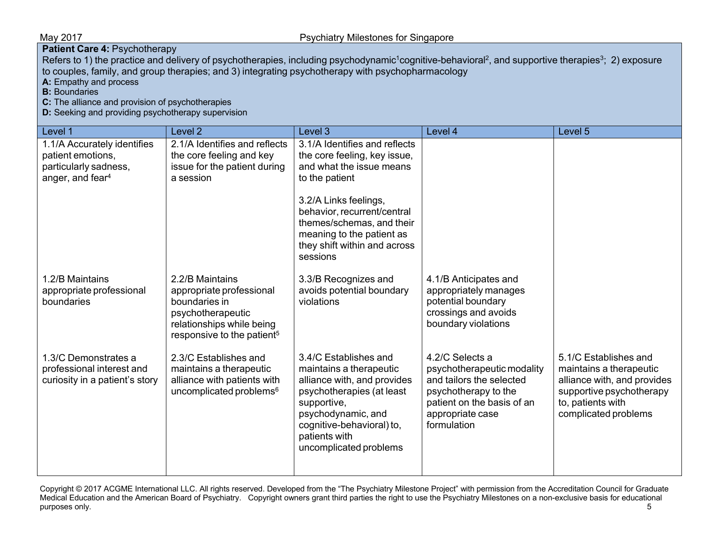**Patient Care 4: Psychotherapy** 

Refers to 1) the practice and delivery of psychotherapies, including psychodynamic<sup>1</sup>cognitive-behavioral<sup>2</sup>, and supportive therapies<sup>3</sup>; 2) exposure to couples, family, and group therapies; and 3) integrating psychotherapy with psychopharmacology

**A:** Empathy and process

**B**: Boundaries

**C:** The alliance and provision of psychotherapies

**D:** Seeking and providing psychotherapy supervision

| Level 1                                                                                                   | Level <sub>2</sub>                                                                                                                                       | Level 3                                                                                                                                                                                                                       | Level 4                                                                                                                                                            | Level 5                                                                                                                                                  |
|-----------------------------------------------------------------------------------------------------------|----------------------------------------------------------------------------------------------------------------------------------------------------------|-------------------------------------------------------------------------------------------------------------------------------------------------------------------------------------------------------------------------------|--------------------------------------------------------------------------------------------------------------------------------------------------------------------|----------------------------------------------------------------------------------------------------------------------------------------------------------|
| 1.1/A Accurately identifies<br>patient emotions,<br>particularly sadness,<br>anger, and fear <sup>4</sup> | 2.1/A Identifies and reflects<br>the core feeling and key<br>issue for the patient during<br>a session                                                   | 3.1/A Identifies and reflects<br>the core feeling, key issue,<br>and what the issue means<br>to the patient<br>3.2/A Links feelings,<br>behavior, recurrent/central<br>themes/schemas, and their<br>meaning to the patient as |                                                                                                                                                                    |                                                                                                                                                          |
| 1.2/B Maintains<br>appropriate professional<br>boundaries                                                 | 2.2/B Maintains<br>appropriate professional<br>boundaries in<br>psychotherapeutic<br>relationships while being<br>responsive to the patient <sup>5</sup> | they shift within and across<br>sessions<br>3.3/B Recognizes and<br>avoids potential boundary<br>violations                                                                                                                   | 4.1/B Anticipates and<br>appropriately manages<br>potential boundary<br>crossings and avoids<br>boundary violations                                                |                                                                                                                                                          |
| 1.3/C Demonstrates a<br>professional interest and<br>curiosity in a patient's story                       | 2.3/C Establishes and<br>maintains a therapeutic<br>alliance with patients with<br>uncomplicated problems <sup>6</sup>                                   | 3.4/C Establishes and<br>maintains a therapeutic<br>alliance with, and provides<br>psychotherapies (at least<br>supportive,<br>psychodynamic, and<br>cognitive-behavioral) to,<br>patients with<br>uncomplicated problems     | 4.2/C Selects a<br>psychotherapeutic modality<br>and tailors the selected<br>psychotherapy to the<br>patient on the basis of an<br>appropriate case<br>formulation | 5.1/C Establishes and<br>maintains a therapeutic<br>alliance with, and provides<br>supportive psychotherapy<br>to, patients with<br>complicated problems |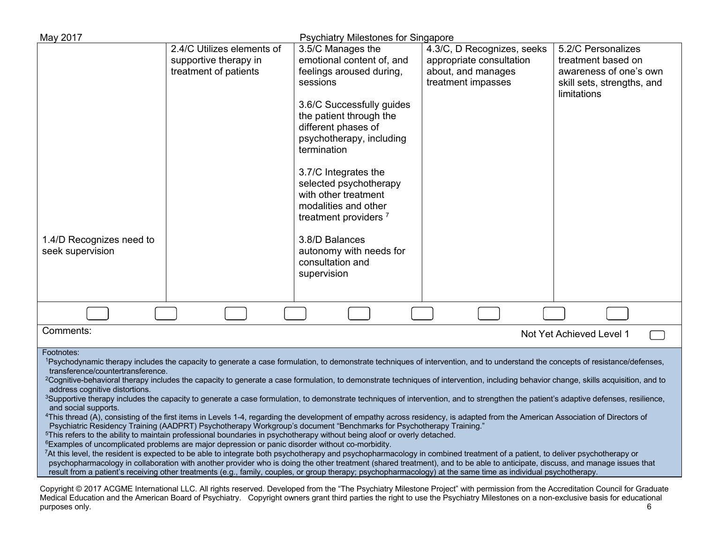| May 2017                                                                                                                                                                                                                                                                                                                                                                                                                                                                                                                                                                                                                                                                                                                                                                                                                                                                                                                                                                                                                                                                                                                                                                                                                                                                                                                                                                                                                                                                                                                                                                                                                                                                                                                                                                                                        |                                                                              | <b>Psychiatry Milestones for Singapore</b>                                                                                                                                                                                                                                                                                                             |                                                                                                    |                                                                                                                 |
|-----------------------------------------------------------------------------------------------------------------------------------------------------------------------------------------------------------------------------------------------------------------------------------------------------------------------------------------------------------------------------------------------------------------------------------------------------------------------------------------------------------------------------------------------------------------------------------------------------------------------------------------------------------------------------------------------------------------------------------------------------------------------------------------------------------------------------------------------------------------------------------------------------------------------------------------------------------------------------------------------------------------------------------------------------------------------------------------------------------------------------------------------------------------------------------------------------------------------------------------------------------------------------------------------------------------------------------------------------------------------------------------------------------------------------------------------------------------------------------------------------------------------------------------------------------------------------------------------------------------------------------------------------------------------------------------------------------------------------------------------------------------------------------------------------------------|------------------------------------------------------------------------------|--------------------------------------------------------------------------------------------------------------------------------------------------------------------------------------------------------------------------------------------------------------------------------------------------------------------------------------------------------|----------------------------------------------------------------------------------------------------|-----------------------------------------------------------------------------------------------------------------|
|                                                                                                                                                                                                                                                                                                                                                                                                                                                                                                                                                                                                                                                                                                                                                                                                                                                                                                                                                                                                                                                                                                                                                                                                                                                                                                                                                                                                                                                                                                                                                                                                                                                                                                                                                                                                                 | 2.4/C Utilizes elements of<br>supportive therapy in<br>treatment of patients | 3.5/C Manages the<br>emotional content of, and<br>feelings aroused during,<br>sessions<br>3.6/C Successfully guides<br>the patient through the<br>different phases of<br>psychotherapy, including<br>termination<br>3.7/C Integrates the<br>selected psychotherapy<br>with other treatment<br>modalities and other<br>treatment providers <sup>7</sup> | 4.3/C, D Recognizes, seeks<br>appropriate consultation<br>about, and manages<br>treatment impasses | 5.2/C Personalizes<br>treatment based on<br>awareness of one's own<br>skill sets, strengths, and<br>limitations |
| 1.4/D Recognizes need to<br>seek supervision                                                                                                                                                                                                                                                                                                                                                                                                                                                                                                                                                                                                                                                                                                                                                                                                                                                                                                                                                                                                                                                                                                                                                                                                                                                                                                                                                                                                                                                                                                                                                                                                                                                                                                                                                                    |                                                                              | 3.8/D Balances<br>autonomy with needs for<br>consultation and<br>supervision                                                                                                                                                                                                                                                                           |                                                                                                    |                                                                                                                 |
|                                                                                                                                                                                                                                                                                                                                                                                                                                                                                                                                                                                                                                                                                                                                                                                                                                                                                                                                                                                                                                                                                                                                                                                                                                                                                                                                                                                                                                                                                                                                                                                                                                                                                                                                                                                                                 |                                                                              |                                                                                                                                                                                                                                                                                                                                                        |                                                                                                    |                                                                                                                 |
| Comments:                                                                                                                                                                                                                                                                                                                                                                                                                                                                                                                                                                                                                                                                                                                                                                                                                                                                                                                                                                                                                                                                                                                                                                                                                                                                                                                                                                                                                                                                                                                                                                                                                                                                                                                                                                                                       |                                                                              |                                                                                                                                                                                                                                                                                                                                                        |                                                                                                    | Not Yet Achieved Level 1                                                                                        |
| Footnotes:<br>1Psychodynamic therapy includes the capacity to generate a case formulation, to demonstrate techniques of intervention, and to understand the concepts of resistance/defenses,<br>transference/countertransference.<br><sup>2</sup> Cognitive-behavioral therapy includes the capacity to generate a case formulation, to demonstrate techniques of intervention, including behavior change, skills acquisition, and to<br>address cognitive distortions.<br><sup>3</sup> Supportive therapy includes the capacity to generate a case formulation, to demonstrate techniques of intervention, and to strengthen the patient's adaptive defenses, resilience,<br>and social supports.<br><sup>4</sup> This thread (A), consisting of the first items in Levels 1-4, regarding the development of empathy across residency, is adapted from the American Association of Directors of<br>Psychiatric Residency Training (AADPRT) Psychotherapy Workgroup's document "Benchmarks for Psychotherapy Training."<br><sup>5</sup> This refers to the ability to maintain professional boundaries in psychotherapy without being aloof or overly detached.<br><sup>6</sup> Examples of uncomplicated problems are major depression or panic disorder without co-morbidity.<br>7At this level, the resident is expected to be able to integrate both psychotherapy and psychopharmacology in combined treatment of a patient, to deliver psychotherapy or<br>psychopharmacology in collaboration with another provider who is doing the other treatment (shared treatment), and to be able to anticipate, discuss, and manage issues that<br>result from a patient's receiving other treatments (e.g., family, couples, or group therapy; psychopharmacology) at the same time as individual psychotherapy. |                                                                              |                                                                                                                                                                                                                                                                                                                                                        |                                                                                                    |                                                                                                                 |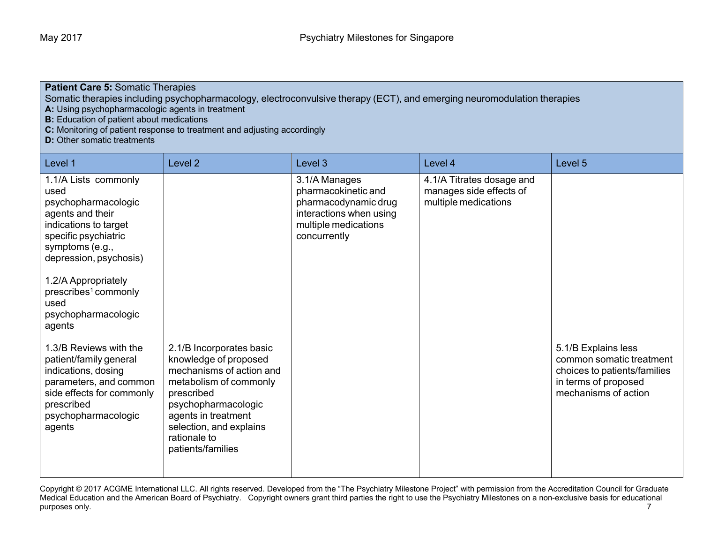## **Patient Care 5:** Somatic Therapies

Somatic therapies including psychopharmacology, electroconvulsive therapy (ECT), and emerging neuromodulation therapies

**A:** Using psychopharmacologic agents in treatment

**B:** Education of patient about medications

**C:** Monitoring of patient response to treatment and adjusting accordingly

**D:** Other somatic treatments

| Level 1                                                                                                                                                                                                                                                                   | Level <sub>2</sub>                                                                                                                                                                                                                  | Level 3                                                                                                                         | Level 4                                                                      | Level 5                                                                                                                         |
|---------------------------------------------------------------------------------------------------------------------------------------------------------------------------------------------------------------------------------------------------------------------------|-------------------------------------------------------------------------------------------------------------------------------------------------------------------------------------------------------------------------------------|---------------------------------------------------------------------------------------------------------------------------------|------------------------------------------------------------------------------|---------------------------------------------------------------------------------------------------------------------------------|
| 1.1/A Lists commonly<br>used<br>psychopharmacologic<br>agents and their<br>indications to target<br>specific psychiatric<br>symptoms (e.g.,<br>depression, psychosis)<br>1.2/A Appropriately<br>prescribes <sup>1</sup> commonly<br>used<br>psychopharmacologic<br>agents |                                                                                                                                                                                                                                     | 3.1/A Manages<br>pharmacokinetic and<br>pharmacodynamic drug<br>interactions when using<br>multiple medications<br>concurrently | 4.1/A Titrates dosage and<br>manages side effects of<br>multiple medications |                                                                                                                                 |
| 1.3/B Reviews with the<br>patient/family general<br>indications, dosing<br>parameters, and common<br>side effects for commonly<br>prescribed<br>psychopharmacologic<br>agents                                                                                             | 2.1/B Incorporates basic<br>knowledge of proposed<br>mechanisms of action and<br>metabolism of commonly<br>prescribed<br>psychopharmacologic<br>agents in treatment<br>selection, and explains<br>rationale to<br>patients/families |                                                                                                                                 |                                                                              | 5.1/B Explains less<br>common somatic treatment<br>choices to patients/families<br>in terms of proposed<br>mechanisms of action |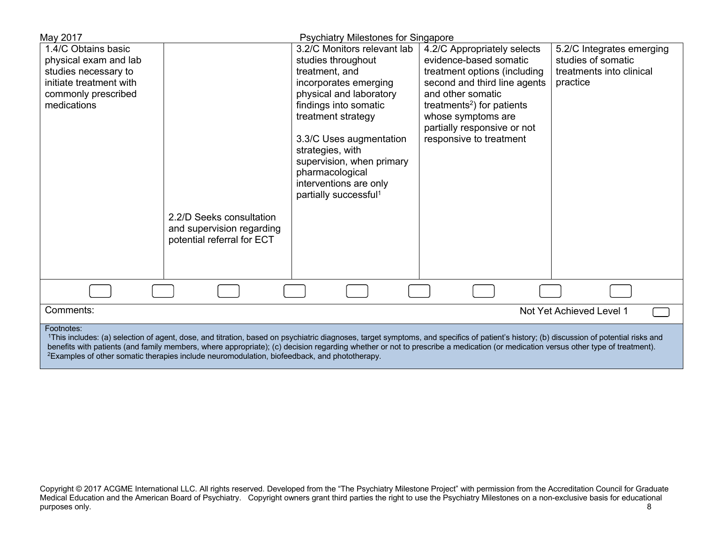| May 2017                                                                                                                                                                                                                                                                                                                                                                   | <b>Psychiatry Milestones for Singapore</b> |                                        |                           |
|----------------------------------------------------------------------------------------------------------------------------------------------------------------------------------------------------------------------------------------------------------------------------------------------------------------------------------------------------------------------------|--------------------------------------------|----------------------------------------|---------------------------|
| 1.4/C Obtains basic                                                                                                                                                                                                                                                                                                                                                        | 3.2/C Monitors relevant lab                | 4.2/C Appropriately selects            | 5.2/C Integrates emerging |
| physical exam and lab                                                                                                                                                                                                                                                                                                                                                      | studies throughout                         | evidence-based somatic                 | studies of somatic        |
| studies necessary to                                                                                                                                                                                                                                                                                                                                                       | treatment, and                             | treatment options (including           | treatments into clinical  |
| initiate treatment with                                                                                                                                                                                                                                                                                                                                                    | incorporates emerging                      | second and third line agents           | practice                  |
| commonly prescribed                                                                                                                                                                                                                                                                                                                                                        | physical and laboratory                    | and other somatic                      |                           |
| medications                                                                                                                                                                                                                                                                                                                                                                | findings into somatic                      | treatments <sup>2</sup> ) for patients |                           |
|                                                                                                                                                                                                                                                                                                                                                                            | treatment strategy                         | whose symptoms are                     |                           |
|                                                                                                                                                                                                                                                                                                                                                                            |                                            | partially responsive or not            |                           |
|                                                                                                                                                                                                                                                                                                                                                                            | 3.3/C Uses augmentation                    | responsive to treatment                |                           |
|                                                                                                                                                                                                                                                                                                                                                                            | strategies, with                           |                                        |                           |
|                                                                                                                                                                                                                                                                                                                                                                            | supervision, when primary                  |                                        |                           |
|                                                                                                                                                                                                                                                                                                                                                                            | pharmacological                            |                                        |                           |
|                                                                                                                                                                                                                                                                                                                                                                            | interventions are only                     |                                        |                           |
|                                                                                                                                                                                                                                                                                                                                                                            | partially successful <sup>1</sup>          |                                        |                           |
|                                                                                                                                                                                                                                                                                                                                                                            |                                            |                                        |                           |
| 2.2/D Seeks consultation                                                                                                                                                                                                                                                                                                                                                   |                                            |                                        |                           |
| and supervision regarding                                                                                                                                                                                                                                                                                                                                                  |                                            |                                        |                           |
| potential referral for ECT                                                                                                                                                                                                                                                                                                                                                 |                                            |                                        |                           |
|                                                                                                                                                                                                                                                                                                                                                                            |                                            |                                        |                           |
|                                                                                                                                                                                                                                                                                                                                                                            |                                            |                                        |                           |
|                                                                                                                                                                                                                                                                                                                                                                            |                                            |                                        |                           |
|                                                                                                                                                                                                                                                                                                                                                                            |                                            |                                        |                           |
| Comments:<br>Not Yet Achieved Level 1                                                                                                                                                                                                                                                                                                                                      |                                            |                                        |                           |
| Footnotes:                                                                                                                                                                                                                                                                                                                                                                 |                                            |                                        |                           |
| 1This includes: (a) selection of agent, dose, and titration, based on psychiatric diagnoses, target symptoms, and specifics of patient's history; (b) discussion of potential risks and<br>benefits with patients (and family members, where appropriate); (c) decision regarding whether or not to prescribe a medication (or medication versus other type of treatment). |                                            |                                        |                           |

<sup>2</sup>Examples of other somatic therapies include neuromodulation, biofeedback, and phototherapy.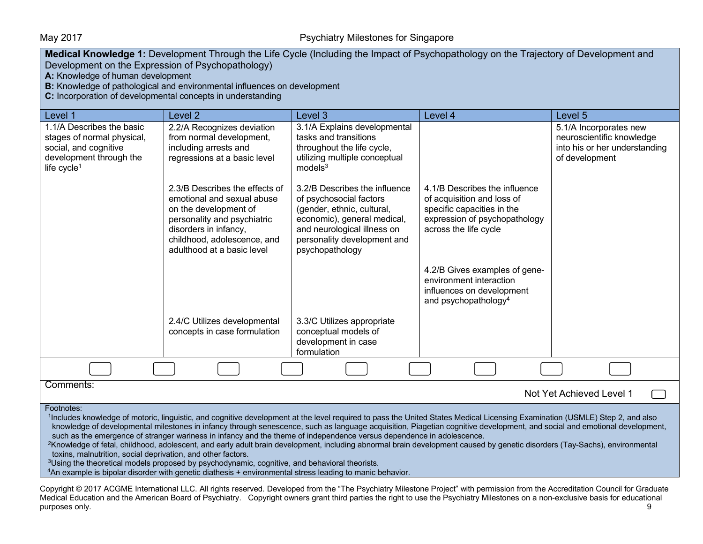## May 2017 May 2017 **Psychiatry Milestones for Singapore**

| Medical Knowledge 1: Development Through the Life Cycle (Including the Impact of Psychopathology on the Trajectory of Development and<br>Development on the Expression of Psychopathology)                                                                                                                                                                                                                                                                                                                                                                                                                                                                                                                                                                                                                                                                                                                                                                                                      |                                                                                                                                                                                                            |                                                                                                                                                                                                        |                                                                                                                                                     |                                                                                                        |  |
|-------------------------------------------------------------------------------------------------------------------------------------------------------------------------------------------------------------------------------------------------------------------------------------------------------------------------------------------------------------------------------------------------------------------------------------------------------------------------------------------------------------------------------------------------------------------------------------------------------------------------------------------------------------------------------------------------------------------------------------------------------------------------------------------------------------------------------------------------------------------------------------------------------------------------------------------------------------------------------------------------|------------------------------------------------------------------------------------------------------------------------------------------------------------------------------------------------------------|--------------------------------------------------------------------------------------------------------------------------------------------------------------------------------------------------------|-----------------------------------------------------------------------------------------------------------------------------------------------------|--------------------------------------------------------------------------------------------------------|--|
| A: Knowledge of human development                                                                                                                                                                                                                                                                                                                                                                                                                                                                                                                                                                                                                                                                                                                                                                                                                                                                                                                                                               |                                                                                                                                                                                                            |                                                                                                                                                                                                        |                                                                                                                                                     |                                                                                                        |  |
|                                                                                                                                                                                                                                                                                                                                                                                                                                                                                                                                                                                                                                                                                                                                                                                                                                                                                                                                                                                                 | B: Knowledge of pathological and environmental influences on development                                                                                                                                   |                                                                                                                                                                                                        |                                                                                                                                                     |                                                                                                        |  |
| C: Incorporation of developmental concepts in understanding                                                                                                                                                                                                                                                                                                                                                                                                                                                                                                                                                                                                                                                                                                                                                                                                                                                                                                                                     |                                                                                                                                                                                                            |                                                                                                                                                                                                        |                                                                                                                                                     |                                                                                                        |  |
| Level 1                                                                                                                                                                                                                                                                                                                                                                                                                                                                                                                                                                                                                                                                                                                                                                                                                                                                                                                                                                                         | Level <sub>2</sub>                                                                                                                                                                                         | Level 3                                                                                                                                                                                                | Level 4                                                                                                                                             | Level 5                                                                                                |  |
| 1.1/A Describes the basic<br>stages of normal physical,<br>social, and cognitive<br>development through the<br>life cycle <sup>1</sup>                                                                                                                                                                                                                                                                                                                                                                                                                                                                                                                                                                                                                                                                                                                                                                                                                                                          | 2.2/A Recognizes deviation<br>from normal development,<br>including arrests and<br>regressions at a basic level                                                                                            | 3.1/A Explains developmental<br>tasks and transitions<br>throughout the life cycle,<br>utilizing multiple conceptual<br>models <sup>3</sup>                                                            |                                                                                                                                                     | 5.1/A Incorporates new<br>neuroscientific knowledge<br>into his or her understanding<br>of development |  |
|                                                                                                                                                                                                                                                                                                                                                                                                                                                                                                                                                                                                                                                                                                                                                                                                                                                                                                                                                                                                 | 2.3/B Describes the effects of<br>emotional and sexual abuse<br>on the development of<br>personality and psychiatric<br>disorders in infancy,<br>childhood, adolescence, and<br>adulthood at a basic level | 3.2/B Describes the influence<br>of psychosocial factors<br>(gender, ethnic, cultural,<br>economic), general medical,<br>and neurological illness on<br>personality development and<br>psychopathology | 4.1/B Describes the influence<br>of acquisition and loss of<br>specific capacities in the<br>expression of psychopathology<br>across the life cycle |                                                                                                        |  |
|                                                                                                                                                                                                                                                                                                                                                                                                                                                                                                                                                                                                                                                                                                                                                                                                                                                                                                                                                                                                 |                                                                                                                                                                                                            |                                                                                                                                                                                                        | 4.2/B Gives examples of gene-<br>environment interaction<br>influences on development<br>and psychopathology <sup>4</sup>                           |                                                                                                        |  |
|                                                                                                                                                                                                                                                                                                                                                                                                                                                                                                                                                                                                                                                                                                                                                                                                                                                                                                                                                                                                 | 2.4/C Utilizes developmental<br>concepts in case formulation                                                                                                                                               | 3.3/C Utilizes appropriate<br>conceptual models of<br>development in case<br>formulation                                                                                                               |                                                                                                                                                     |                                                                                                        |  |
|                                                                                                                                                                                                                                                                                                                                                                                                                                                                                                                                                                                                                                                                                                                                                                                                                                                                                                                                                                                                 |                                                                                                                                                                                                            |                                                                                                                                                                                                        |                                                                                                                                                     |                                                                                                        |  |
| Comments:<br>Not Yet Achieved Level 1                                                                                                                                                                                                                                                                                                                                                                                                                                                                                                                                                                                                                                                                                                                                                                                                                                                                                                                                                           |                                                                                                                                                                                                            |                                                                                                                                                                                                        |                                                                                                                                                     |                                                                                                        |  |
| Footnotes:<br><sup>1</sup> Includes knowledge of motoric, linguistic, and cognitive development at the level required to pass the United States Medical Licensing Examination (USMLE) Step 2, and also<br>knowledge of developmental milestones in infancy through senescence, such as language acquisition, Piagetian cognitive development, and social and emotional development,<br>such as the emergence of stranger wariness in infancy and the theme of independence versus dependence in adolescence.<br><sup>2</sup> Knowledge of fetal, childhood, adolescent, and early adult brain development, including abnormal brain development caused by genetic disorders (Tay-Sachs), environmental<br>toxins, malnutrition, social deprivation, and other factors.<br><sup>3</sup> Using the theoretical models proposed by psychodynamic, cognitive, and behavioral theorists.<br>4An example is bipolar disorder with genetic diathesis + environmental stress leading to manic behavior. |                                                                                                                                                                                                            |                                                                                                                                                                                                        |                                                                                                                                                     |                                                                                                        |  |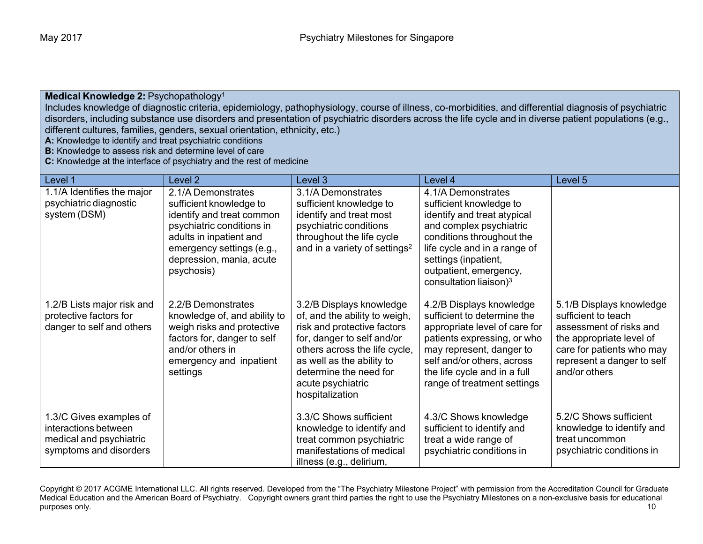### **Medical Knowledge 2: Psychopathology<sup>1</sup>**

Includes knowledge of diagnostic criteria, epidemiology, pathophysiology, course of illness, co-morbidities, and differential diagnosis of psychiatric disorders, including substance use disorders and presentation of psychiatric disorders across the life cycle and in diverse patient populations (e.g., different cultures, families, genders, sexual orientation, ethnicity, etc.)

**A:** Knowledge to identify and treat psychiatric conditions

**B:** Knowledge to assess risk and determine level of care

**C:** Knowledge at the interface of psychiatry and the rest of medicine

| Level 1                                                                                              | Level 2                                                                                                                                                                                                   | Level 3                                                                                                                                                                                                                                                | Level 4                                                                                                                                                                                                                                             | Level 5                                                                                                                                                                            |
|------------------------------------------------------------------------------------------------------|-----------------------------------------------------------------------------------------------------------------------------------------------------------------------------------------------------------|--------------------------------------------------------------------------------------------------------------------------------------------------------------------------------------------------------------------------------------------------------|-----------------------------------------------------------------------------------------------------------------------------------------------------------------------------------------------------------------------------------------------------|------------------------------------------------------------------------------------------------------------------------------------------------------------------------------------|
| 1.1/A Identifies the major<br>psychiatric diagnostic<br>system (DSM)                                 | 2.1/A Demonstrates<br>sufficient knowledge to<br>identify and treat common<br>psychiatric conditions in<br>adults in inpatient and<br>emergency settings (e.g.,<br>depression, mania, acute<br>psychosis) | 3.1/A Demonstrates<br>sufficient knowledge to<br>identify and treat most<br>psychiatric conditions<br>throughout the life cycle<br>and in a variety of settings <sup>2</sup>                                                                           | 4.1/A Demonstrates<br>sufficient knowledge to<br>identify and treat atypical<br>and complex psychiatric<br>conditions throughout the<br>life cycle and in a range of<br>settings (inpatient,<br>outpatient, emergency,<br>consultation liaison) $3$ |                                                                                                                                                                                    |
| 1.2/B Lists major risk and<br>protective factors for<br>danger to self and others                    | 2.2/B Demonstrates<br>knowledge of, and ability to<br>weigh risks and protective<br>factors for, danger to self<br>and/or others in<br>emergency and inpatient<br>settings                                | 3.2/B Displays knowledge<br>of, and the ability to weigh,<br>risk and protective factors<br>for, danger to self and/or<br>others across the life cycle,<br>as well as the ability to<br>determine the need for<br>acute psychiatric<br>hospitalization | 4.2/B Displays knowledge<br>sufficient to determine the<br>appropriate level of care for<br>patients expressing, or who<br>may represent, danger to<br>self and/or others, across<br>the life cycle and in a full<br>range of treatment settings    | 5.1/B Displays knowledge<br>sufficient to teach<br>assessment of risks and<br>the appropriate level of<br>care for patients who may<br>represent a danger to self<br>and/or others |
| 1.3/C Gives examples of<br>interactions between<br>medical and psychiatric<br>symptoms and disorders |                                                                                                                                                                                                           | 3.3/C Shows sufficient<br>knowledge to identify and<br>treat common psychiatric<br>manifestations of medical<br>illness (e.g., delirium,                                                                                                               | 4.3/C Shows knowledge<br>sufficient to identify and<br>treat a wide range of<br>psychiatric conditions in                                                                                                                                           | 5.2/C Shows sufficient<br>knowledge to identify and<br>treat uncommon<br>psychiatric conditions in                                                                                 |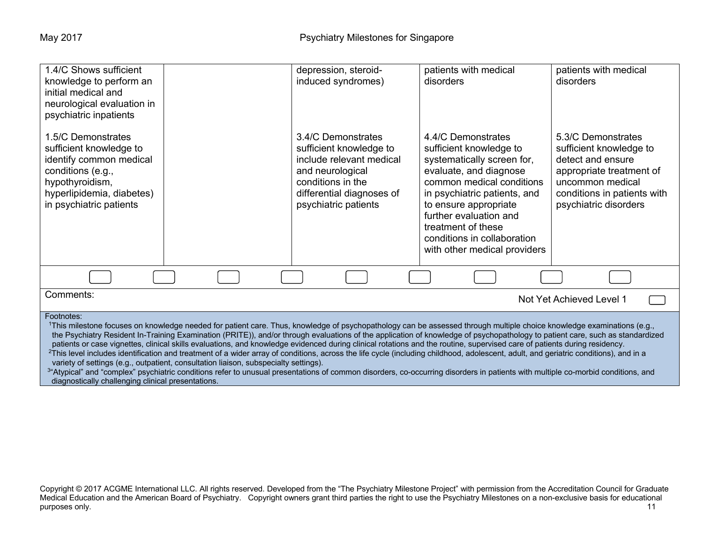| 1.4/C Shows sufficient<br>knowledge to perform an<br>initial medical and<br>neurological evaluation in<br>psychiatric inpatients                                                                                                                                                                                                                                                                                                                                                                                                                                                                                                                                                                                                                                                                                                                                                                                                                                                                                                  |  | depression, steroid-<br>induced syndromes)                                                                                                                              | patients with medical<br>disorders                                                                                                                                                                                                                                                                         | patients with medical<br>disorders                                                                                                                                         |
|-----------------------------------------------------------------------------------------------------------------------------------------------------------------------------------------------------------------------------------------------------------------------------------------------------------------------------------------------------------------------------------------------------------------------------------------------------------------------------------------------------------------------------------------------------------------------------------------------------------------------------------------------------------------------------------------------------------------------------------------------------------------------------------------------------------------------------------------------------------------------------------------------------------------------------------------------------------------------------------------------------------------------------------|--|-------------------------------------------------------------------------------------------------------------------------------------------------------------------------|------------------------------------------------------------------------------------------------------------------------------------------------------------------------------------------------------------------------------------------------------------------------------------------------------------|----------------------------------------------------------------------------------------------------------------------------------------------------------------------------|
| 1.5/C Demonstrates<br>sufficient knowledge to<br>identify common medical<br>conditions (e.g.,<br>hypothyroidism,<br>hyperlipidemia, diabetes)<br>in psychiatric patients                                                                                                                                                                                                                                                                                                                                                                                                                                                                                                                                                                                                                                                                                                                                                                                                                                                          |  | 3.4/C Demonstrates<br>sufficient knowledge to<br>include relevant medical<br>and neurological<br>conditions in the<br>differential diagnoses of<br>psychiatric patients | 4.4/C Demonstrates<br>sufficient knowledge to<br>systematically screen for,<br>evaluate, and diagnose<br>common medical conditions<br>in psychiatric patients, and<br>to ensure appropriate<br>further evaluation and<br>treatment of these<br>conditions in collaboration<br>with other medical providers | 5.3/C Demonstrates<br>sufficient knowledge to<br>detect and ensure<br>appropriate treatment of<br>uncommon medical<br>conditions in patients with<br>psychiatric disorders |
|                                                                                                                                                                                                                                                                                                                                                                                                                                                                                                                                                                                                                                                                                                                                                                                                                                                                                                                                                                                                                                   |  |                                                                                                                                                                         |                                                                                                                                                                                                                                                                                                            |                                                                                                                                                                            |
| Comments:<br>Not Yet Achieved Level 1                                                                                                                                                                                                                                                                                                                                                                                                                                                                                                                                                                                                                                                                                                                                                                                                                                                                                                                                                                                             |  |                                                                                                                                                                         |                                                                                                                                                                                                                                                                                                            |                                                                                                                                                                            |
| Footnotes:<br>1This milestone focuses on knowledge needed for patient care. Thus, knowledge of psychopathology can be assessed through multiple choice knowledge examinations (e.g.,<br>the Psychiatry Resident In-Training Examination (PRITE)), and/or through evaluations of the application of knowledge of psychopathology to patient care, such as standardized<br>patients or case vignettes, clinical skills evaluations, and knowledge evidenced during clinical rotations and the routine, supervised care of patients during residency.<br><sup>2</sup> This level includes identification and treatment of a wider array of conditions, across the life cycle (including childhood, adolescent, adult, and geriatric conditions), and in a<br>variety of settings (e.g., outpatient, consultation liaison, subspecialty settings).<br>3"Atypical" and "complex" psychiatric conditions refer to unusual presentations of common disorders, co-occurring disorders in patients with multiple co-morbid conditions, and |  |                                                                                                                                                                         |                                                                                                                                                                                                                                                                                                            |                                                                                                                                                                            |

diagnostically challenging clinical presentations.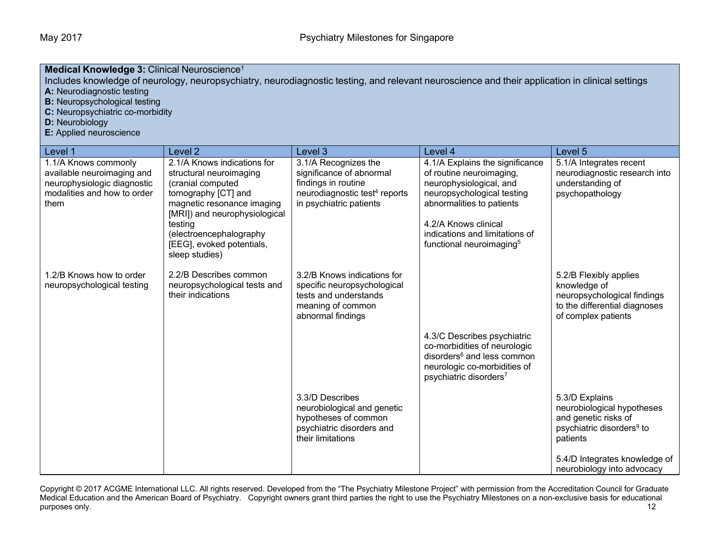| Medical Knowledge 3: Clinical Neuroscience <sup>1</sup><br>Includes knowledge of neurology, neuropsychiatry, neurodiagnostic testing, and relevant neuroscience and their application in clinical settings<br>A: Neurodiagnostic testing<br><b>B:</b> Neuropsychological testing<br>C: Neuropsychiatric co-morbidity<br><b>D:</b> Neurobiology<br>E: Applied neuroscience |                                                                                                                                                                                                                                                        |                                                                                                                                                 |                                                                                                                                                                                                                                                     |                                                                                                                                                                                          |  |  |
|---------------------------------------------------------------------------------------------------------------------------------------------------------------------------------------------------------------------------------------------------------------------------------------------------------------------------------------------------------------------------|--------------------------------------------------------------------------------------------------------------------------------------------------------------------------------------------------------------------------------------------------------|-------------------------------------------------------------------------------------------------------------------------------------------------|-----------------------------------------------------------------------------------------------------------------------------------------------------------------------------------------------------------------------------------------------------|------------------------------------------------------------------------------------------------------------------------------------------------------------------------------------------|--|--|
| Level 1                                                                                                                                                                                                                                                                                                                                                                   | Level 2                                                                                                                                                                                                                                                | Level 3                                                                                                                                         | Level 4                                                                                                                                                                                                                                             | Level <sub>5</sub>                                                                                                                                                                       |  |  |
| 1.1/A Knows commonly<br>available neuroimaging and<br>neurophysiologic diagnostic<br>modalities and how to order<br>them                                                                                                                                                                                                                                                  | 2.1/A Knows indications for<br>structural neuroimaging<br>(cranial computed<br>tomography [CT] and<br>magnetic resonance imaging<br>[MRI]) and neurophysiological<br>testing<br>(electroencephalography<br>[EEG], evoked potentials,<br>sleep studies) | 3.1/A Recognizes the<br>significance of abnormal<br>findings in routine<br>neurodiagnostic test <sup>4</sup> reports<br>in psychiatric patients | 4.1/A Explains the significance<br>of routine neuroimaging,<br>neurophysiological, and<br>neuropsychological testing<br>abnormalities to patients<br>4.2/A Knows clinical<br>indications and limitations of<br>functional neuroimaging <sup>5</sup> | 5.1/A Integrates recent<br>neurodiagnostic research into<br>understanding of<br>psychopathology                                                                                          |  |  |
| 1.2/B Knows how to order<br>neuropsychological testing                                                                                                                                                                                                                                                                                                                    | 2.2/B Describes common<br>neuropsychological tests and<br>their indications                                                                                                                                                                            | 3.2/B Knows indications for<br>specific neuropsychological<br>tests and understands<br>meaning of common<br>abnormal findings                   | 4.3/C Describes psychiatric<br>co-morbidities of neurologic<br>disorders <sup>6</sup> and less common<br>neurologic co-morbidities of<br>psychiatric disorders <sup>7</sup>                                                                         | 5.2/B Flexibly applies<br>knowledge of<br>neuropsychological findings<br>to the differential diagnoses<br>of complex patients                                                            |  |  |
|                                                                                                                                                                                                                                                                                                                                                                           |                                                                                                                                                                                                                                                        | 3.3/D Describes<br>neurobiological and genetic<br>hypotheses of common<br>psychiatric disorders and<br>their limitations                        |                                                                                                                                                                                                                                                     | 5.3/D Explains<br>neurobiological hypotheses<br>and genetic risks of<br>psychiatric disorders <sup>9</sup> to<br>patients<br>5.4/D Integrates knowledge of<br>neurobiology into advocacy |  |  |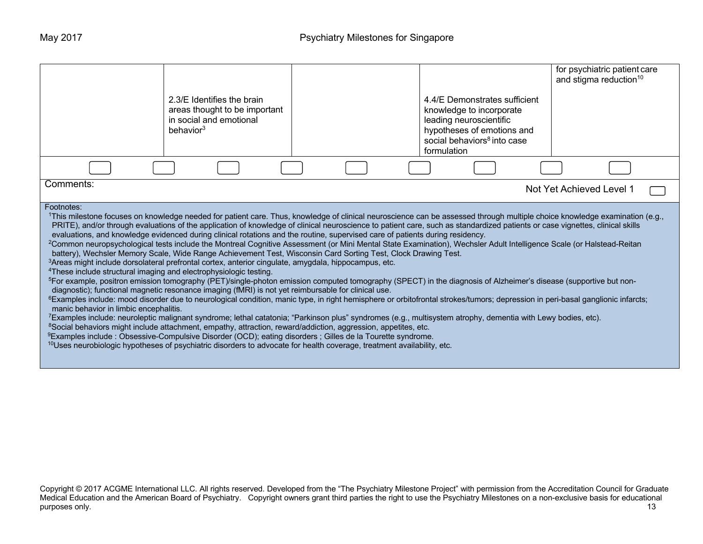|                                                                                                                                                                                                                                                                                                                                                                                                                                                                                                                                                                                                                                                                                                                                                                                                                                                                                                                                                                                                                                                                                                                                                                                                                                                                                                                                                                                                                                                                                                                                                                                                                                                                                                                                                                                                                                                                                                                                                                                                                                                                                                                                         | 2.3/E Identifies the brain<br>areas thought to be important<br>in social and emotional<br>behavior <sup>3</sup> |  | 4.4/E Demonstrates sufficient<br>knowledge to incorporate<br>leading neuroscientific<br>hypotheses of emotions and<br>social behaviors <sup>8</sup> into case<br>formulation | for psychiatric patient care<br>and stigma reduction <sup>10</sup> |  |
|-----------------------------------------------------------------------------------------------------------------------------------------------------------------------------------------------------------------------------------------------------------------------------------------------------------------------------------------------------------------------------------------------------------------------------------------------------------------------------------------------------------------------------------------------------------------------------------------------------------------------------------------------------------------------------------------------------------------------------------------------------------------------------------------------------------------------------------------------------------------------------------------------------------------------------------------------------------------------------------------------------------------------------------------------------------------------------------------------------------------------------------------------------------------------------------------------------------------------------------------------------------------------------------------------------------------------------------------------------------------------------------------------------------------------------------------------------------------------------------------------------------------------------------------------------------------------------------------------------------------------------------------------------------------------------------------------------------------------------------------------------------------------------------------------------------------------------------------------------------------------------------------------------------------------------------------------------------------------------------------------------------------------------------------------------------------------------------------------------------------------------------------|-----------------------------------------------------------------------------------------------------------------|--|------------------------------------------------------------------------------------------------------------------------------------------------------------------------------|--------------------------------------------------------------------|--|
|                                                                                                                                                                                                                                                                                                                                                                                                                                                                                                                                                                                                                                                                                                                                                                                                                                                                                                                                                                                                                                                                                                                                                                                                                                                                                                                                                                                                                                                                                                                                                                                                                                                                                                                                                                                                                                                                                                                                                                                                                                                                                                                                         |                                                                                                                 |  |                                                                                                                                                                              |                                                                    |  |
| Comments:                                                                                                                                                                                                                                                                                                                                                                                                                                                                                                                                                                                                                                                                                                                                                                                                                                                                                                                                                                                                                                                                                                                                                                                                                                                                                                                                                                                                                                                                                                                                                                                                                                                                                                                                                                                                                                                                                                                                                                                                                                                                                                                               |                                                                                                                 |  |                                                                                                                                                                              |                                                                    |  |
| Not Yet Achieved Level 1<br>Footnotes:<br>1This milestone focuses on knowledge needed for patient care. Thus, knowledge of clinical neuroscience can be assessed through multiple choice knowledge examination (e.g.,<br>PRITE), and/or through evaluations of the application of knowledge of clinical neuroscience to patient care, such as standardized patients or case vignettes, clinical skills<br>evaluations, and knowledge evidenced during clinical rotations and the routine, supervised care of patients during residency.<br><sup>2</sup> Common neuropsychological tests include the Montreal Cognitive Assessment (or Mini Mental State Examination), Wechsler Adult Intelligence Scale (or Halstead-Reitan<br>battery), Wechsler Memory Scale, Wide Range Achievement Test, Wisconsin Card Sorting Test, Clock Drawing Test.<br><sup>3</sup> Areas might include dorsolateral prefrontal cortex, anterior cingulate, amygdala, hippocampus, etc.<br><sup>4</sup> These include structural imaging and electrophysiologic testing.<br><sup>5</sup> For example, positron emission tomography (PET)/single-photon emission computed tomography (SPECT) in the diagnosis of Alzheimer's disease (supportive but non-<br>diagnostic); functional magnetic resonance imaging (fMRI) is not yet reimbursable for clinical use.<br><sup>6</sup> Examples include: mood disorder due to neurological condition, manic type, in right hemisphere or orbitofrontal strokes/tumors; depression in peri-basal ganglionic infarcts;<br>manic behavior in limbic encephalitis.<br>7Examples include: neuroleptic malignant syndrome; lethal catatonia; "Parkinson plus" syndromes (e.g., multisystem atrophy, dementia with Lewy bodies, etc).<br><sup>8</sup> Social behaviors might include attachment, empathy, attraction, reward/addiction, aggression, appetites, etc.<br><sup>9</sup> Examples include : Obsessive-Compulsive Disorder (OCD); eating disorders ; Gilles de la Tourette syndrome.<br>$10$ Uses neurobiologic hypotheses of psychiatric disorders to advocate for health coverage, treatment availability, etc. |                                                                                                                 |  |                                                                                                                                                                              |                                                                    |  |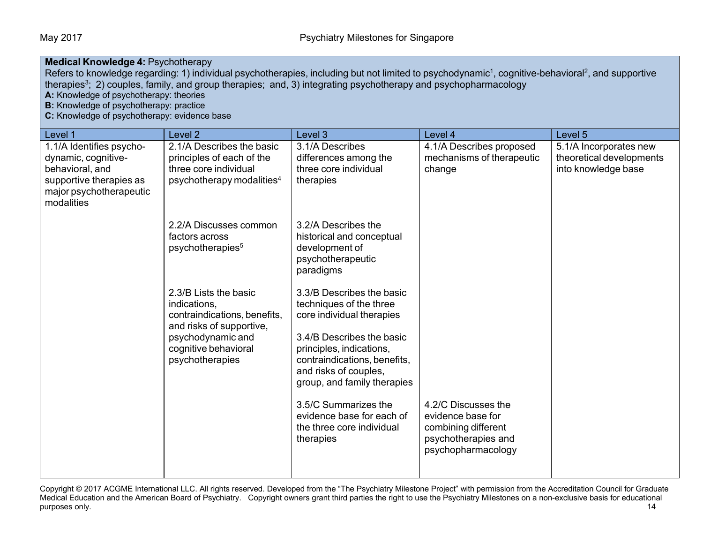### **Medical Knowledge 4: Psychotherapy**

Refers to knowledge regarding: 1) individual psychotherapies, including but not limited to psychodynamic<sup>1</sup>, cognitive-behavioral<sup>2</sup>, and supportive therapies3; 2) couples, family, and group therapies; and, 3) integrating psychotherapy and psychopharmacology

**A:** Knowledge of psychotherapy: theories

**B:** Knowledge of psychotherapy: practice

**C:** Knowledge of psychotherapy: evidence base

| Level 1                                    | Level <sub>2</sub>                                             | Level 3                                               | Level 4                                    | Level 5                  |
|--------------------------------------------|----------------------------------------------------------------|-------------------------------------------------------|--------------------------------------------|--------------------------|
| 1.1/A Identifies psycho-                   | 2.1/A Describes the basic                                      | 3.1/A Describes                                       | 4.1/A Describes proposed                   | 5.1/A Incorporates new   |
| dynamic, cognitive-                        | principles of each of the                                      | differences among the                                 | mechanisms of therapeutic                  | theoretical developments |
| behavioral, and<br>supportive therapies as | three core individual<br>psychotherapy modalities <sup>4</sup> | three core individual<br>therapies                    | change                                     | into knowledge base      |
| major psychotherapeutic                    |                                                                |                                                       |                                            |                          |
| modalities                                 |                                                                |                                                       |                                            |                          |
|                                            |                                                                |                                                       |                                            |                          |
|                                            | 2.2/A Discusses common                                         | 3.2/A Describes the                                   |                                            |                          |
|                                            | factors across<br>psychotherapies <sup>5</sup>                 | historical and conceptual<br>development of           |                                            |                          |
|                                            |                                                                | psychotherapeutic                                     |                                            |                          |
|                                            |                                                                | paradigms                                             |                                            |                          |
|                                            |                                                                |                                                       |                                            |                          |
|                                            | 2.3/B Lists the basic<br>indications,                          | 3.3/B Describes the basic<br>techniques of the three  |                                            |                          |
|                                            | contraindications, benefits,                                   | core individual therapies                             |                                            |                          |
|                                            | and risks of supportive,                                       |                                                       |                                            |                          |
|                                            | psychodynamic and                                              | 3.4/B Describes the basic                             |                                            |                          |
|                                            | cognitive behavioral                                           | principles, indications,                              |                                            |                          |
|                                            | psychotherapies                                                | contraindications, benefits,<br>and risks of couples, |                                            |                          |
|                                            |                                                                | group, and family therapies                           |                                            |                          |
|                                            |                                                                |                                                       |                                            |                          |
|                                            |                                                                | 3.5/C Summarizes the                                  | 4.2/C Discusses the                        |                          |
|                                            |                                                                | evidence base for each of                             | evidence base for                          |                          |
|                                            |                                                                | the three core individual<br>therapies                | combining different<br>psychotherapies and |                          |
|                                            |                                                                |                                                       | psychopharmacology                         |                          |
|                                            |                                                                |                                                       |                                            |                          |
|                                            |                                                                |                                                       |                                            |                          |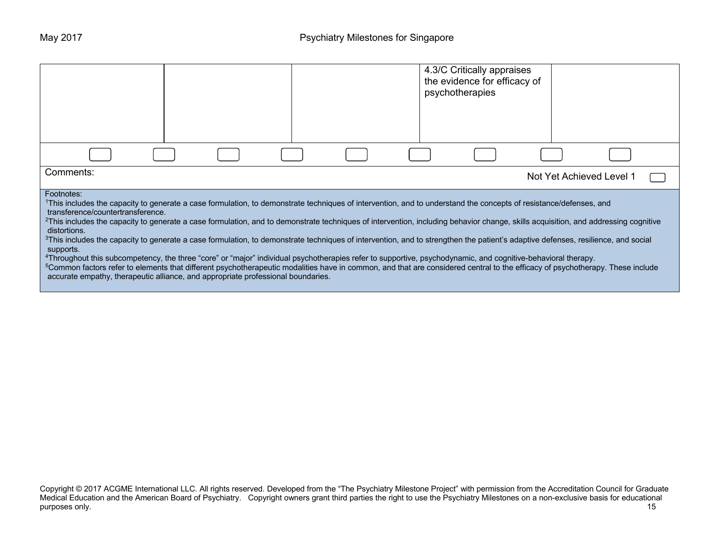|                                                                                                                                                                                                                                                                                                                                                                                                                                                                                                                                                                                                                                                    |  |  |  |  |  | 4.3/C Critically appraises<br>the evidence for efficacy of<br>psychotherapies |                          |  |
|----------------------------------------------------------------------------------------------------------------------------------------------------------------------------------------------------------------------------------------------------------------------------------------------------------------------------------------------------------------------------------------------------------------------------------------------------------------------------------------------------------------------------------------------------------------------------------------------------------------------------------------------------|--|--|--|--|--|-------------------------------------------------------------------------------|--------------------------|--|
|                                                                                                                                                                                                                                                                                                                                                                                                                                                                                                                                                                                                                                                    |  |  |  |  |  |                                                                               |                          |  |
| Comments:                                                                                                                                                                                                                                                                                                                                                                                                                                                                                                                                                                                                                                          |  |  |  |  |  |                                                                               | Not Yet Achieved Level 1 |  |
| Footnotes:<br><sup>1</sup> This includes the capacity to generate a case formulation, to demonstrate techniques of intervention, and to understand the concepts of resistance/defenses, and<br>transference/countertransference.<br><sup>2</sup> This includes the capacity to generate a case formulation, and to demonstrate techniques of intervention, including behavior change, skills acquisition, and addressing cognitive<br>distortions.<br><sup>3</sup> This includes the capacity to generate a case formulation, to demonstrate techniques of intervention, and to strengthen the patient's adaptive defenses, resilience, and social |  |  |  |  |  |                                                                               |                          |  |
| supports.<br>4Throughout this subcompetency, the three "core" or "major" individual psychotherapies refer to supportive, psychodynamic, and cognitive-behavioral therapy.<br><sup>5</sup> Common factors refer to elements that different psychotherapeutic modalities have in common, and that are considered central to the efficacy of psychotherapy. These include<br>accurate empathy, therapeutic alliance, and appropriate professional boundaries.                                                                                                                                                                                         |  |  |  |  |  |                                                                               |                          |  |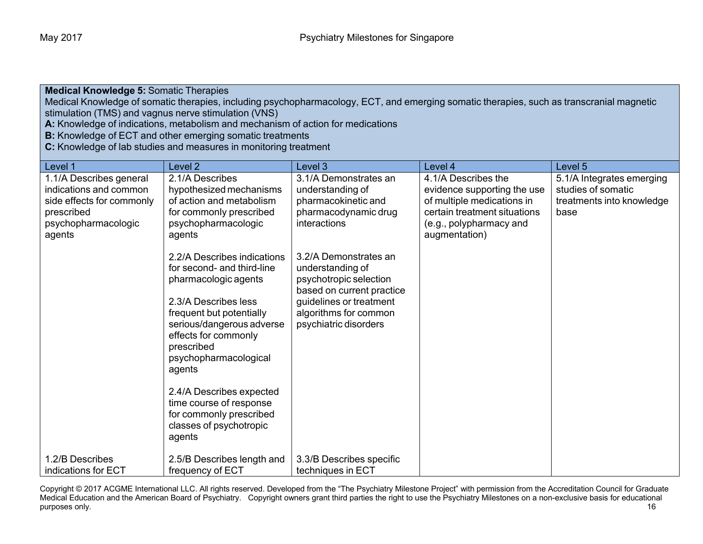**Medical Knowledge 5:** Somatic Therapies

Medical Knowledge of somatic therapies, including psychopharmacology, ECT, and emerging somatic therapies, such as transcranial magnetic stimulation (TMS) and vagnus nerve stimulation (VNS)

**A:** Knowledge of indications, metabolism and mechanism of action for medications

**B:** Knowledge of ECT and other emerging somatic treatments

**C:** Knowledge of lab studies and measures in monitoring treatment

| Level 1                                                                                                             | Level 2                                                                                                                                                                                                                                               | Level 3                                                                                                                                                                       | Level 4                                                                                                                                     | Level 5                                                                              |
|---------------------------------------------------------------------------------------------------------------------|-------------------------------------------------------------------------------------------------------------------------------------------------------------------------------------------------------------------------------------------------------|-------------------------------------------------------------------------------------------------------------------------------------------------------------------------------|---------------------------------------------------------------------------------------------------------------------------------------------|--------------------------------------------------------------------------------------|
| 1.1/A Describes general<br>indications and common<br>side effects for commonly<br>prescribed<br>psychopharmacologic | 2.1/A Describes<br>hypothesized mechanisms<br>of action and metabolism<br>for commonly prescribed<br>psychopharmacologic                                                                                                                              | 3.1/A Demonstrates an<br>understanding of<br>pharmacokinetic and<br>pharmacodynamic drug<br>interactions                                                                      | 4.1/A Describes the<br>evidence supporting the use<br>of multiple medications in<br>certain treatment situations<br>(e.g., polypharmacy and | 5.1/A Integrates emerging<br>studies of somatic<br>treatments into knowledge<br>base |
| agents                                                                                                              | agents<br>2.2/A Describes indications<br>for second- and third-line<br>pharmacologic agents<br>2.3/A Describes less<br>frequent but potentially<br>serious/dangerous adverse<br>effects for commonly<br>prescribed<br>psychopharmacological<br>agents | 3.2/A Demonstrates an<br>understanding of<br>psychotropic selection<br>based on current practice<br>guidelines or treatment<br>algorithms for common<br>psychiatric disorders | augmentation)                                                                                                                               |                                                                                      |
|                                                                                                                     | 2.4/A Describes expected<br>time course of response<br>for commonly prescribed<br>classes of psychotropic<br>agents                                                                                                                                   |                                                                                                                                                                               |                                                                                                                                             |                                                                                      |
| 1.2/B Describes<br>indications for ECT                                                                              | 2.5/B Describes length and<br>frequency of ECT                                                                                                                                                                                                        | 3.3/B Describes specific<br>techniques in ECT                                                                                                                                 |                                                                                                                                             |                                                                                      |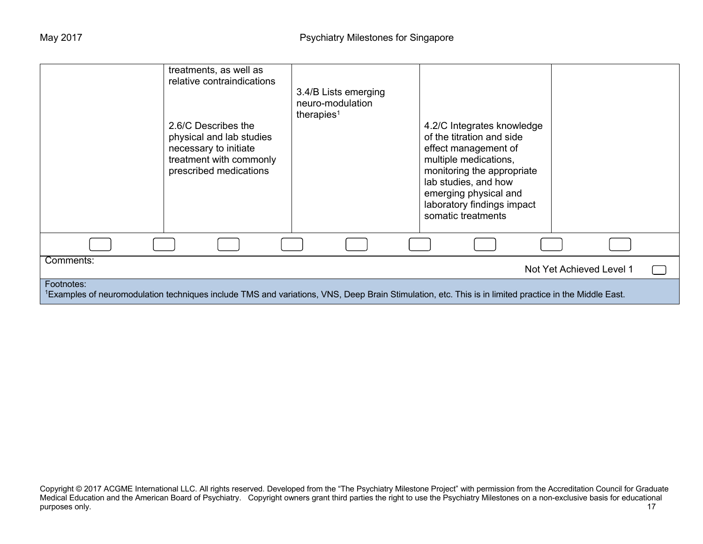|                                                                                                                                                                     | treatments, as well as<br>relative contraindications<br>2.6/C Describes the<br>physical and lab studies<br>necessary to initiate<br>treatment with commonly<br>prescribed medications | 3.4/B Lists emerging<br>neuro-modulation<br>therapies <sup>1</sup> | 4.2/C Integrates knowledge<br>of the titration and side<br>effect management of<br>multiple medications,<br>monitoring the appropriate<br>lab studies, and how<br>emerging physical and<br>laboratory findings impact<br>somatic treatments |                          |  |  |
|---------------------------------------------------------------------------------------------------------------------------------------------------------------------|---------------------------------------------------------------------------------------------------------------------------------------------------------------------------------------|--------------------------------------------------------------------|---------------------------------------------------------------------------------------------------------------------------------------------------------------------------------------------------------------------------------------------|--------------------------|--|--|
|                                                                                                                                                                     |                                                                                                                                                                                       |                                                                    |                                                                                                                                                                                                                                             |                          |  |  |
| Comments:                                                                                                                                                           |                                                                                                                                                                                       |                                                                    |                                                                                                                                                                                                                                             | Not Yet Achieved Level 1 |  |  |
| Footnotes:<br>1Examples of neuromodulation techniques include TMS and variations, VNS, Deep Brain Stimulation, etc. This is in limited practice in the Middle East. |                                                                                                                                                                                       |                                                                    |                                                                                                                                                                                                                                             |                          |  |  |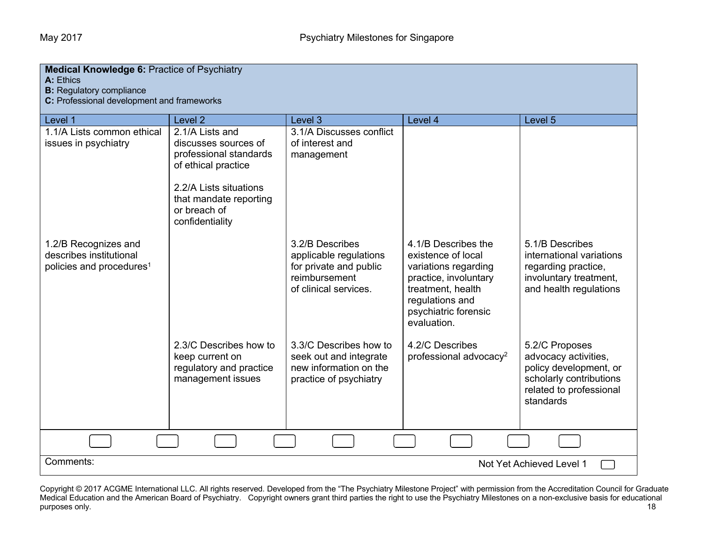| <b>Medical Knowledge 6: Practice of Psychiatry</b><br>A: Ethics<br><b>B:</b> Regulatory compliance<br>C: Professional development and frameworks |                                                                                                                                                                                 |                                                                                                               |                                                                                                                                                                           |                                                                                                                                     |  |
|--------------------------------------------------------------------------------------------------------------------------------------------------|---------------------------------------------------------------------------------------------------------------------------------------------------------------------------------|---------------------------------------------------------------------------------------------------------------|---------------------------------------------------------------------------------------------------------------------------------------------------------------------------|-------------------------------------------------------------------------------------------------------------------------------------|--|
| Level 1                                                                                                                                          | Level <sub>2</sub>                                                                                                                                                              | Level <sub>3</sub>                                                                                            | Level 4                                                                                                                                                                   | Level 5                                                                                                                             |  |
| 1.1/A Lists common ethical<br>issues in psychiatry                                                                                               | 2.1/A Lists and<br>discusses sources of<br>professional standards<br>of ethical practice<br>2.2/A Lists situations<br>that mandate reporting<br>or breach of<br>confidentiality | 3.1/A Discusses conflict<br>of interest and<br>management                                                     |                                                                                                                                                                           |                                                                                                                                     |  |
| 1.2/B Recognizes and<br>describes institutional<br>policies and procedures <sup>1</sup>                                                          |                                                                                                                                                                                 | 3.2/B Describes<br>applicable regulations<br>for private and public<br>reimbursement<br>of clinical services. | 4.1/B Describes the<br>existence of local<br>variations regarding<br>practice, involuntary<br>treatment, health<br>regulations and<br>psychiatric forensic<br>evaluation. | 5.1/B Describes<br>international variations<br>regarding practice,<br>involuntary treatment,<br>and health regulations              |  |
|                                                                                                                                                  | 2.3/C Describes how to<br>keep current on<br>regulatory and practice<br>management issues                                                                                       | 3.3/C Describes how to<br>seek out and integrate<br>new information on the<br>practice of psychiatry          | 4.2/C Describes<br>professional advocacy <sup>2</sup>                                                                                                                     | 5.2/C Proposes<br>advocacy activities,<br>policy development, or<br>scholarly contributions<br>related to professional<br>standards |  |
|                                                                                                                                                  |                                                                                                                                                                                 |                                                                                                               |                                                                                                                                                                           |                                                                                                                                     |  |
| Comments:                                                                                                                                        |                                                                                                                                                                                 |                                                                                                               |                                                                                                                                                                           | Not Yet Achieved Level 1                                                                                                            |  |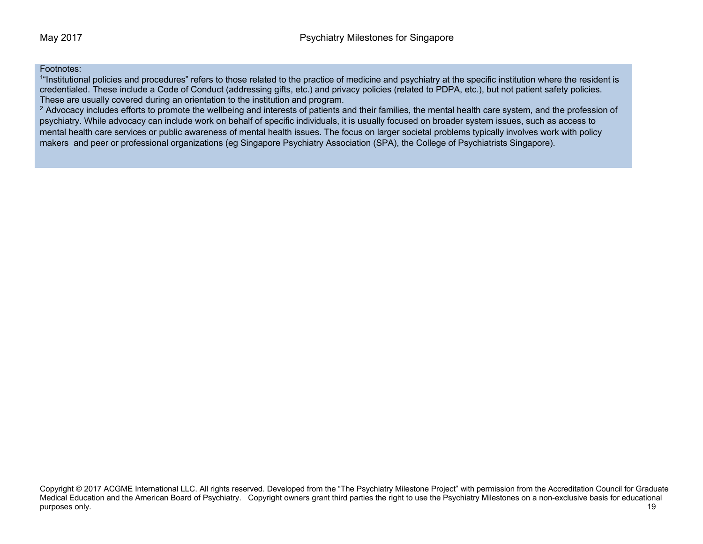### Footnotes:

<sup>1"</sup>Institutional policies and procedures" refers to those related to the practice of medicine and psychiatry at the specific institution where the resident is credentialed. These include a Code of Conduct (addressing gifts, etc.) and privacy policies (related to PDPA, etc.), but not patient safety policies. These are usually covered during an orientation to the institution and program.

<sup>2</sup> Advocacy includes efforts to promote the wellbeing and interests of patients and their families, the mental health care system, and the profession of psychiatry. While advocacy can include work on behalf of specific individuals, it is usually focused on broader system issues, such as access to mental health care services or public awareness of mental health issues. The focus on larger societal problems typically involves work with policy makers and peer or professional organizations (eg Singapore Psychiatry Association (SPA), the College of Psychiatrists Singapore).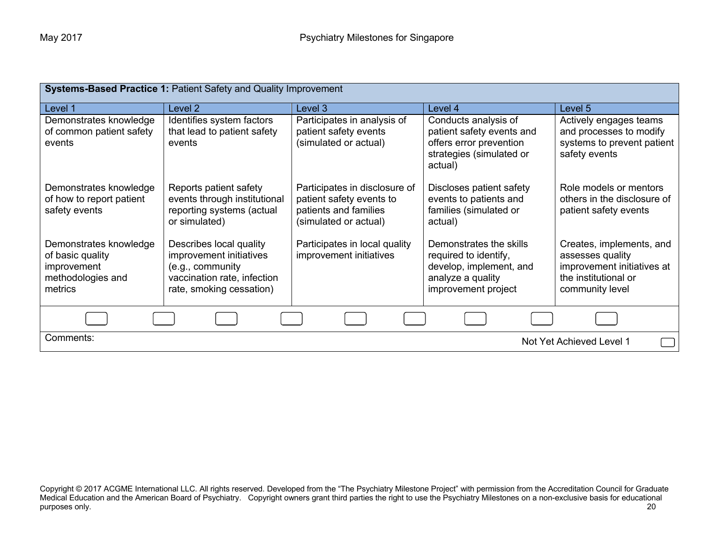| <b>Systems-Based Practice 1: Patient Safety and Quality Improvement</b>                   |                                                                                                                                   |                                                                                                             |                                                                                                                         |                                                                                                                       |  |
|-------------------------------------------------------------------------------------------|-----------------------------------------------------------------------------------------------------------------------------------|-------------------------------------------------------------------------------------------------------------|-------------------------------------------------------------------------------------------------------------------------|-----------------------------------------------------------------------------------------------------------------------|--|
| Level 1                                                                                   | Level 2                                                                                                                           | Level 3                                                                                                     | Level 4                                                                                                                 | Level 5                                                                                                               |  |
| Demonstrates knowledge<br>of common patient safety<br>events                              | Identifies system factors<br>that lead to patient safety<br>events                                                                | Participates in analysis of<br>patient safety events<br>(simulated or actual)                               | Conducts analysis of<br>patient safety events and<br>offers error prevention<br>strategies (simulated or<br>actual)     | Actively engages teams<br>and processes to modify<br>systems to prevent patient<br>safety events                      |  |
| Demonstrates knowledge<br>of how to report patient<br>safety events                       | Reports patient safety<br>events through institutional<br>reporting systems (actual<br>or simulated)                              | Participates in disclosure of<br>patient safety events to<br>patients and families<br>(simulated or actual) | Discloses patient safety<br>events to patients and<br>families (simulated or<br>actual)                                 | Role models or mentors<br>others in the disclosure of<br>patient safety events                                        |  |
| Demonstrates knowledge<br>of basic quality<br>improvement<br>methodologies and<br>metrics | Describes local quality<br>improvement initiatives<br>(e.g., community<br>vaccination rate, infection<br>rate, smoking cessation) | Participates in local quality<br>improvement initiatives                                                    | Demonstrates the skills<br>required to identify,<br>develop, implement, and<br>analyze a quality<br>improvement project | Creates, implements, and<br>assesses quality<br>improvement initiatives at<br>the institutional or<br>community level |  |
|                                                                                           |                                                                                                                                   |                                                                                                             |                                                                                                                         |                                                                                                                       |  |
| Comments:<br>Not Yet Achieved Level 1                                                     |                                                                                                                                   |                                                                                                             |                                                                                                                         |                                                                                                                       |  |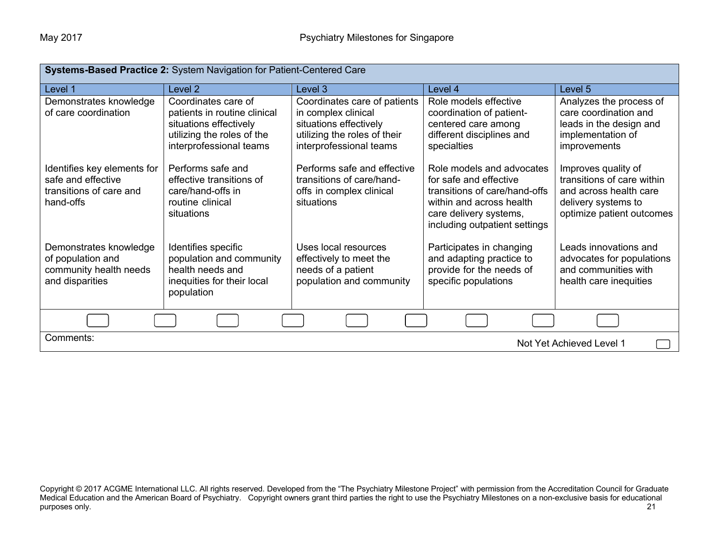| Systems-Based Practice 2: System Navigation for Patient-Centered Care                     |                                                                                                                                        |                                                                                                                                          |                                                                                                                                                                             |                                                                                                                                 |  |
|-------------------------------------------------------------------------------------------|----------------------------------------------------------------------------------------------------------------------------------------|------------------------------------------------------------------------------------------------------------------------------------------|-----------------------------------------------------------------------------------------------------------------------------------------------------------------------------|---------------------------------------------------------------------------------------------------------------------------------|--|
| Level 1                                                                                   | Level <sub>2</sub>                                                                                                                     | Level 3                                                                                                                                  | Level 4                                                                                                                                                                     | Level 5                                                                                                                         |  |
| Demonstrates knowledge<br>of care coordination                                            | Coordinates care of<br>patients in routine clinical<br>situations effectively<br>utilizing the roles of the<br>interprofessional teams | Coordinates care of patients<br>in complex clinical<br>situations effectively<br>utilizing the roles of their<br>interprofessional teams | Role models effective<br>coordination of patient-<br>centered care among<br>different disciplines and<br>specialties                                                        | Analyzes the process of<br>care coordination and<br>leads in the design and<br>implementation of<br>improvements                |  |
| Identifies key elements for<br>safe and effective<br>transitions of care and<br>hand-offs | Performs safe and<br>effective transitions of<br>care/hand-offs in<br>routine clinical<br>situations                                   | Performs safe and effective<br>transitions of care/hand-<br>offs in complex clinical<br>situations                                       | Role models and advocates<br>for safe and effective<br>transitions of care/hand-offs<br>within and across health<br>care delivery systems,<br>including outpatient settings | Improves quality of<br>transitions of care within<br>and across health care<br>delivery systems to<br>optimize patient outcomes |  |
| Demonstrates knowledge<br>of population and<br>community health needs<br>and disparities  | Identifies specific<br>population and community<br>health needs and<br>inequities for their local<br>population                        | Uses local resources<br>effectively to meet the<br>needs of a patient<br>population and community                                        | Participates in changing<br>and adapting practice to<br>provide for the needs of<br>specific populations                                                                    | Leads innovations and<br>advocates for populations<br>and communities with<br>health care inequities                            |  |
|                                                                                           |                                                                                                                                        |                                                                                                                                          |                                                                                                                                                                             |                                                                                                                                 |  |
| Comments:                                                                                 |                                                                                                                                        |                                                                                                                                          |                                                                                                                                                                             | Not Yet Achieved Level 1                                                                                                        |  |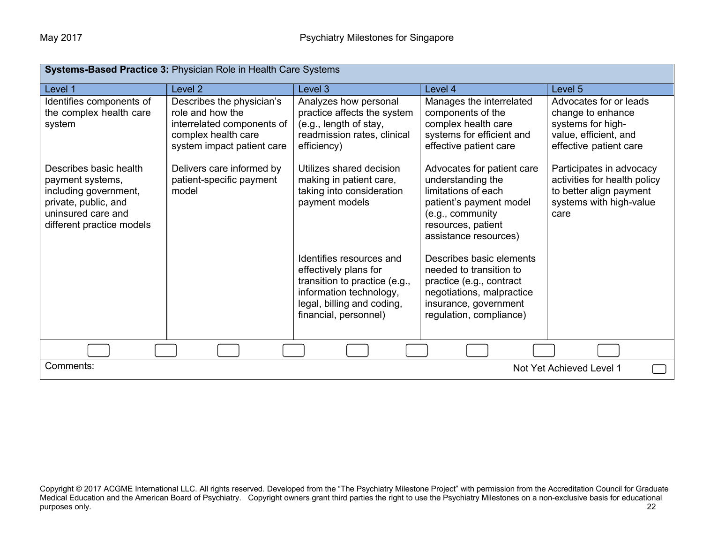| Systems-Based Practice 3: Physician Role in Health Care Systems                                                                                |                                                                                                                                  |                                                                                                                                                                      |                                                                                                                                                                      |                                                                                                                        |  |
|------------------------------------------------------------------------------------------------------------------------------------------------|----------------------------------------------------------------------------------------------------------------------------------|----------------------------------------------------------------------------------------------------------------------------------------------------------------------|----------------------------------------------------------------------------------------------------------------------------------------------------------------------|------------------------------------------------------------------------------------------------------------------------|--|
| Level 1                                                                                                                                        | Level <sub>2</sub>                                                                                                               | Level 3                                                                                                                                                              | Level 4                                                                                                                                                              | Level 5                                                                                                                |  |
| Identifies components of<br>the complex health care<br>system                                                                                  | Describes the physician's<br>role and how the<br>interrelated components of<br>complex health care<br>system impact patient care | Analyzes how personal<br>practice affects the system<br>(e.g., length of stay,<br>readmission rates, clinical<br>efficiency)                                         | Manages the interrelated<br>components of the<br>complex health care<br>systems for efficient and<br>effective patient care                                          | Advocates for or leads<br>change to enhance<br>systems for high-<br>value, efficient, and<br>effective patient care    |  |
| Describes basic health<br>payment systems,<br>including government,<br>private, public, and<br>uninsured care and<br>different practice models | Delivers care informed by<br>patient-specific payment<br>model                                                                   | Utilizes shared decision<br>making in patient care,<br>taking into consideration<br>payment models                                                                   | Advocates for patient care<br>understanding the<br>limitations of each<br>patient's payment model<br>(e.g., community<br>resources, patient<br>assistance resources) | Participates in advocacy<br>activities for health policy<br>to better align payment<br>systems with high-value<br>care |  |
|                                                                                                                                                |                                                                                                                                  | Identifies resources and<br>effectively plans for<br>transition to practice (e.g.,<br>information technology,<br>legal, billing and coding,<br>financial, personnel) | Describes basic elements<br>needed to transition to<br>practice (e.g., contract<br>negotiations, malpractice<br>insurance, government<br>regulation, compliance)     |                                                                                                                        |  |
|                                                                                                                                                |                                                                                                                                  |                                                                                                                                                                      |                                                                                                                                                                      |                                                                                                                        |  |
| Comments:<br>Not Yet Achieved Level 1                                                                                                          |                                                                                                                                  |                                                                                                                                                                      |                                                                                                                                                                      |                                                                                                                        |  |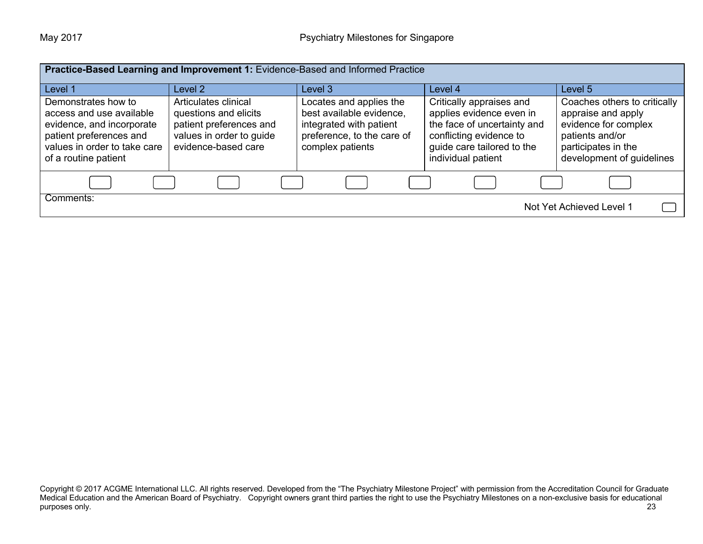| Practice-Based Learning and Improvement 1: Evidence-Based and Informed Practice                                                                                 |                                                                                                                             |                                                                                                                                  |                                                                                                                                                                    |                                                                                                                                                   |  |
|-----------------------------------------------------------------------------------------------------------------------------------------------------------------|-----------------------------------------------------------------------------------------------------------------------------|----------------------------------------------------------------------------------------------------------------------------------|--------------------------------------------------------------------------------------------------------------------------------------------------------------------|---------------------------------------------------------------------------------------------------------------------------------------------------|--|
| Level 1                                                                                                                                                         | Level 2                                                                                                                     | Level 3                                                                                                                          | Level 4                                                                                                                                                            | Level 5                                                                                                                                           |  |
| Demonstrates how to<br>access and use available<br>evidence, and incorporate<br>patient preferences and<br>values in order to take care<br>of a routine patient | Articulates clinical<br>questions and elicits<br>patient preferences and<br>values in order to guide<br>evidence-based care | Locates and applies the<br>best available evidence,<br>integrated with patient<br>preference, to the care of<br>complex patients | Critically appraises and<br>applies evidence even in<br>the face of uncertainty and<br>conflicting evidence to<br>guide care tailored to the<br>individual patient | Coaches others to critically<br>appraise and apply<br>evidence for complex<br>patients and/or<br>participates in the<br>development of guidelines |  |
|                                                                                                                                                                 |                                                                                                                             |                                                                                                                                  |                                                                                                                                                                    |                                                                                                                                                   |  |
| Comments:<br>Not Yet Achieved Level 1                                                                                                                           |                                                                                                                             |                                                                                                                                  |                                                                                                                                                                    |                                                                                                                                                   |  |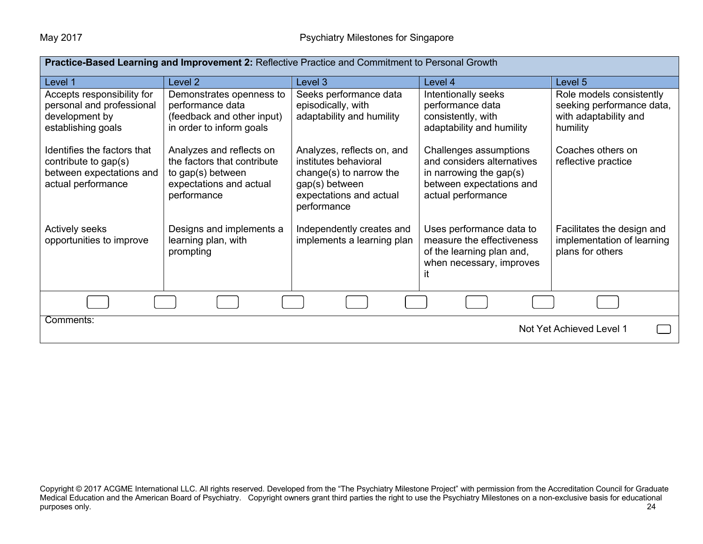| <b>Practice-Based Learning and Improvement 2: Reflective Practice and Commitment to Personal Growth</b> |                                                                                                                        |                                                                                                                                            |                                                                                                                                   |                                                                                            |  |
|---------------------------------------------------------------------------------------------------------|------------------------------------------------------------------------------------------------------------------------|--------------------------------------------------------------------------------------------------------------------------------------------|-----------------------------------------------------------------------------------------------------------------------------------|--------------------------------------------------------------------------------------------|--|
| Level 1                                                                                                 | Level 2                                                                                                                | Level 3                                                                                                                                    | Level 4                                                                                                                           | Level 5                                                                                    |  |
| Accepts responsibility for<br>personal and professional<br>development by<br>establishing goals         | Demonstrates openness to<br>performance data<br>(feedback and other input)<br>in order to inform goals                 | Seeks performance data<br>episodically, with<br>adaptability and humility                                                                  | Intentionally seeks<br>performance data<br>consistently, with<br>adaptability and humility                                        | Role models consistently<br>seeking performance data,<br>with adaptability and<br>humility |  |
| Identifies the factors that<br>contribute to gap(s)<br>between expectations and<br>actual performance   | Analyzes and reflects on<br>the factors that contribute<br>to gap(s) between<br>expectations and actual<br>performance | Analyzes, reflects on, and<br>institutes behavioral<br>change(s) to narrow the<br>gap(s) between<br>expectations and actual<br>performance | Challenges assumptions<br>and considers alternatives<br>in narrowing the gap(s)<br>between expectations and<br>actual performance | Coaches others on<br>reflective practice                                                   |  |
| Actively seeks<br>opportunities to improve                                                              | Designs and implements a<br>learning plan, with<br>prompting                                                           | Independently creates and<br>implements a learning plan                                                                                    | Uses performance data to<br>measure the effectiveness<br>of the learning plan and,<br>when necessary, improves<br>it              | Facilitates the design and<br>implementation of learning<br>plans for others               |  |
|                                                                                                         |                                                                                                                        |                                                                                                                                            |                                                                                                                                   |                                                                                            |  |
| Comments:<br>Not Yet Achieved Level 1                                                                   |                                                                                                                        |                                                                                                                                            |                                                                                                                                   |                                                                                            |  |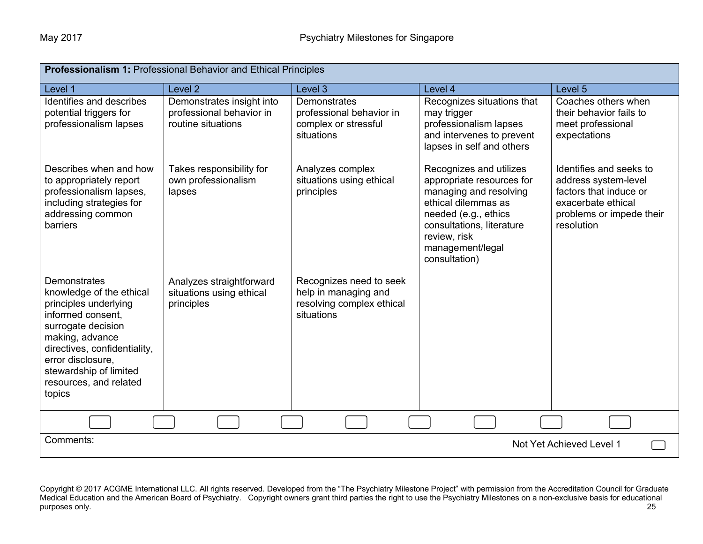| Professionalism 1: Professional Behavior and Ethical Principles                                                                                                                                                                                    |                                                                             |                                                                                            |                                                                                                                                                                                                                 |                                                                                                                                           |  |
|----------------------------------------------------------------------------------------------------------------------------------------------------------------------------------------------------------------------------------------------------|-----------------------------------------------------------------------------|--------------------------------------------------------------------------------------------|-----------------------------------------------------------------------------------------------------------------------------------------------------------------------------------------------------------------|-------------------------------------------------------------------------------------------------------------------------------------------|--|
| Level 1                                                                                                                                                                                                                                            | Level <sub>2</sub>                                                          | Level 3                                                                                    | Level 4                                                                                                                                                                                                         | Level 5                                                                                                                                   |  |
| Identifies and describes<br>potential triggers for<br>professionalism lapses                                                                                                                                                                       | Demonstrates insight into<br>professional behavior in<br>routine situations | <b>Demonstrates</b><br>professional behavior in<br>complex or stressful<br>situations      | Recognizes situations that<br>may trigger<br>professionalism lapses<br>and intervenes to prevent<br>lapses in self and others                                                                                   | Coaches others when<br>their behavior fails to<br>meet professional<br>expectations                                                       |  |
| Describes when and how<br>to appropriately report<br>professionalism lapses,<br>including strategies for<br>addressing common<br>barriers                                                                                                          | Takes responsibility for<br>own professionalism<br>lapses                   | Analyzes complex<br>situations using ethical<br>principles                                 | Recognizes and utilizes<br>appropriate resources for<br>managing and resolving<br>ethical dilemmas as<br>needed (e.g., ethics<br>consultations, literature<br>review, risk<br>management/legal<br>consultation) | Identifies and seeks to<br>address system-level<br>factors that induce or<br>exacerbate ethical<br>problems or impede their<br>resolution |  |
| Demonstrates<br>knowledge of the ethical<br>principles underlying<br>informed consent,<br>surrogate decision<br>making, advance<br>directives, confidentiality,<br>error disclosure,<br>stewardship of limited<br>resources, and related<br>topics | Analyzes straightforward<br>situations using ethical<br>principles          | Recognizes need to seek<br>help in managing and<br>resolving complex ethical<br>situations |                                                                                                                                                                                                                 |                                                                                                                                           |  |
|                                                                                                                                                                                                                                                    |                                                                             |                                                                                            |                                                                                                                                                                                                                 |                                                                                                                                           |  |
| Comments:<br>Not Yet Achieved Level 1                                                                                                                                                                                                              |                                                                             |                                                                                            |                                                                                                                                                                                                                 |                                                                                                                                           |  |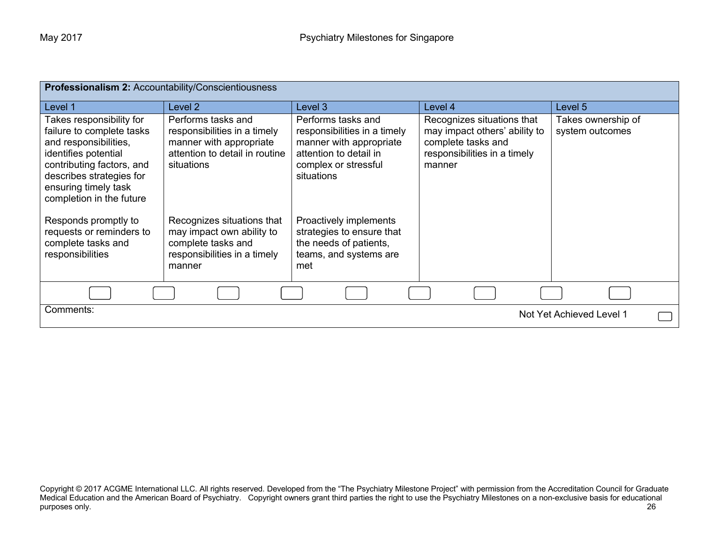| <b>Professionalism 2: Accountability/Conscientiousness</b>                                                                                                                                                          |                                                                                                                               |                                                                                                                                               |                                                                                                                             |                                       |  |
|---------------------------------------------------------------------------------------------------------------------------------------------------------------------------------------------------------------------|-------------------------------------------------------------------------------------------------------------------------------|-----------------------------------------------------------------------------------------------------------------------------------------------|-----------------------------------------------------------------------------------------------------------------------------|---------------------------------------|--|
| Level 1                                                                                                                                                                                                             | Level 2                                                                                                                       | Level 3                                                                                                                                       | Level 4                                                                                                                     | Level 5                               |  |
| Takes responsibility for<br>failure to complete tasks<br>and responsibilities,<br>identifies potential<br>contributing factors, and<br>describes strategies for<br>ensuring timely task<br>completion in the future | Performs tasks and<br>responsibilities in a timely<br>manner with appropriate<br>attention to detail in routine<br>situations | Performs tasks and<br>responsibilities in a timely<br>manner with appropriate<br>attention to detail in<br>complex or stressful<br>situations | Recognizes situations that<br>may impact others' ability to<br>complete tasks and<br>responsibilities in a timely<br>manner | Takes ownership of<br>system outcomes |  |
| Responds promptly to<br>requests or reminders to<br>complete tasks and<br>responsibilities                                                                                                                          | Recognizes situations that<br>may impact own ability to<br>complete tasks and<br>responsibilities in a timely<br>manner       | Proactively implements<br>strategies to ensure that<br>the needs of patients,<br>teams, and systems are<br>met                                |                                                                                                                             |                                       |  |
|                                                                                                                                                                                                                     |                                                                                                                               |                                                                                                                                               |                                                                                                                             |                                       |  |
| Comments:<br>Not Yet Achieved Level 1                                                                                                                                                                               |                                                                                                                               |                                                                                                                                               |                                                                                                                             |                                       |  |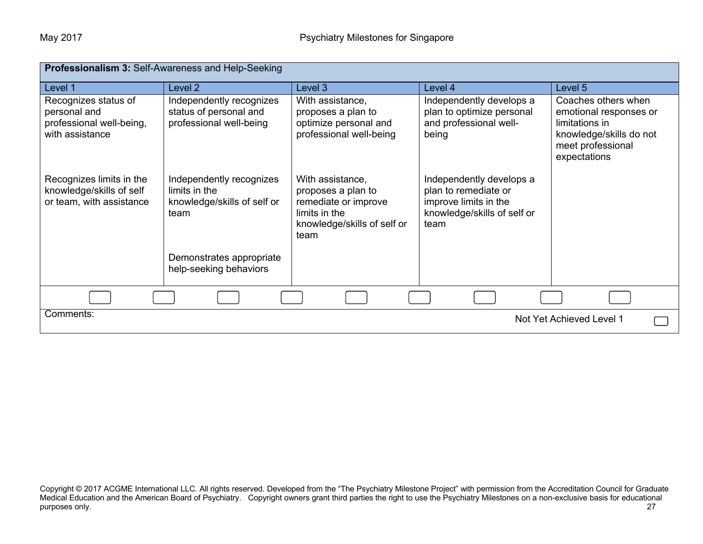| <b>Professionalism 3: Self-Awareness and Help-Seeking</b>                           |                                                                                  |                                                                                                                        |                                                                                                                  |                                                                                                                                 |
|-------------------------------------------------------------------------------------|----------------------------------------------------------------------------------|------------------------------------------------------------------------------------------------------------------------|------------------------------------------------------------------------------------------------------------------|---------------------------------------------------------------------------------------------------------------------------------|
| Level 1                                                                             | Level 2                                                                          | Level 3                                                                                                                | Level 4                                                                                                          | Level 5                                                                                                                         |
| Recognizes status of<br>personal and<br>professional well-being,<br>with assistance | Independently recognizes<br>status of personal and<br>professional well-being    | With assistance,<br>proposes a plan to<br>optimize personal and<br>professional well-being                             | Independently develops a<br>plan to optimize personal<br>and professional well-<br>being                         | Coaches others when<br>emotional responses or<br>limitations in<br>knowledge/skills do not<br>meet professional<br>expectations |
| Recognizes limits in the<br>knowledge/skills of self<br>or team, with assistance    | Independently recognizes<br>limits in the<br>knowledge/skills of self or<br>team | With assistance,<br>proposes a plan to<br>remediate or improve<br>limits in the<br>knowledge/skills of self or<br>team | Independently develops a<br>plan to remediate or<br>improve limits in the<br>knowledge/skills of self or<br>team |                                                                                                                                 |
|                                                                                     | Demonstrates appropriate<br>help-seeking behaviors                               |                                                                                                                        |                                                                                                                  |                                                                                                                                 |
|                                                                                     |                                                                                  |                                                                                                                        |                                                                                                                  |                                                                                                                                 |
| Comments:<br>Not Yet Achieved Level 1                                               |                                                                                  |                                                                                                                        |                                                                                                                  |                                                                                                                                 |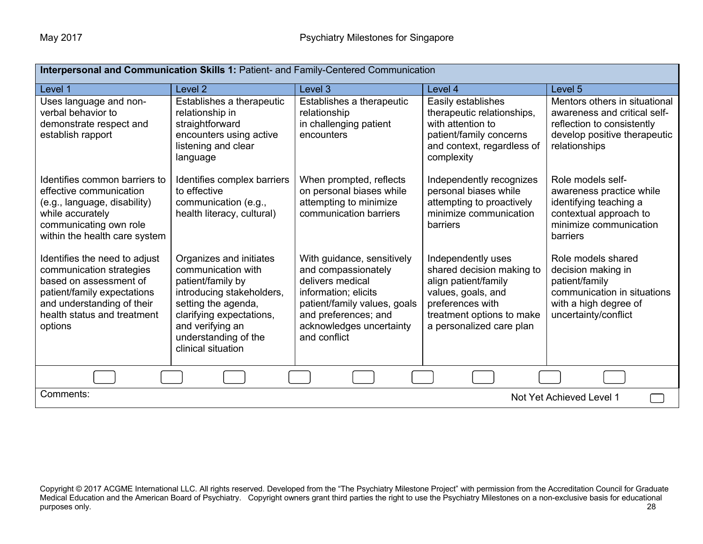| Interpersonal and Communication Skills 1: Patient- and Family-Centered Communication                                                                                                       |                                                                                                                                                                                                                      |                                                                                                                                                                                                   |                                                                                                                                                                            |                                                                                                                                              |
|--------------------------------------------------------------------------------------------------------------------------------------------------------------------------------------------|----------------------------------------------------------------------------------------------------------------------------------------------------------------------------------------------------------------------|---------------------------------------------------------------------------------------------------------------------------------------------------------------------------------------------------|----------------------------------------------------------------------------------------------------------------------------------------------------------------------------|----------------------------------------------------------------------------------------------------------------------------------------------|
| Level 1                                                                                                                                                                                    | Level <sub>2</sub>                                                                                                                                                                                                   | Level 3                                                                                                                                                                                           | Level 4                                                                                                                                                                    | Level <sub>5</sub>                                                                                                                           |
| Uses language and non-<br>verbal behavior to<br>demonstrate respect and<br>establish rapport                                                                                               | Establishes a therapeutic<br>relationship in<br>straightforward<br>encounters using active<br>listening and clear<br>language                                                                                        | Establishes a therapeutic<br>relationship<br>in challenging patient<br>encounters                                                                                                                 | Easily establishes<br>therapeutic relationships,<br>with attention to<br>patient/family concerns<br>and context, regardless of<br>complexity                               | Mentors others in situational<br>awareness and critical self-<br>reflection to consistently<br>develop positive therapeutic<br>relationships |
| Identifies common barriers to<br>effective communication<br>(e.g., language, disability)<br>while accurately<br>communicating own role<br>within the health care system                    | Identifies complex barriers<br>to effective<br>communication (e.g.,<br>health literacy, cultural)                                                                                                                    | When prompted, reflects<br>on personal biases while<br>attempting to minimize<br>communication barriers                                                                                           | Independently recognizes<br>personal biases while<br>attempting to proactively<br>minimize communication<br>barriers                                                       | Role models self-<br>awareness practice while<br>identifying teaching a<br>contextual approach to<br>minimize communication<br>barriers      |
| Identifies the need to adjust<br>communication strategies<br>based on assessment of<br>patient/family expectations<br>and understanding of their<br>health status and treatment<br>options | Organizes and initiates<br>communication with<br>patient/family by<br>introducing stakeholders,<br>setting the agenda,<br>clarifying expectations,<br>and verifying an<br>understanding of the<br>clinical situation | With guidance, sensitively<br>and compassionately<br>delivers medical<br>information; elicits<br>patient/family values, goals<br>and preferences; and<br>acknowledges uncertainty<br>and conflict | Independently uses<br>shared decision making to<br>align patient/family<br>values, goals, and<br>preferences with<br>treatment options to make<br>a personalized care plan | Role models shared<br>decision making in<br>patient/family<br>communication in situations<br>with a high degree of<br>uncertainty/conflict   |
|                                                                                                                                                                                            |                                                                                                                                                                                                                      |                                                                                                                                                                                                   |                                                                                                                                                                            |                                                                                                                                              |
| Comments:<br>Not Yet Achieved Level 1                                                                                                                                                      |                                                                                                                                                                                                                      |                                                                                                                                                                                                   |                                                                                                                                                                            |                                                                                                                                              |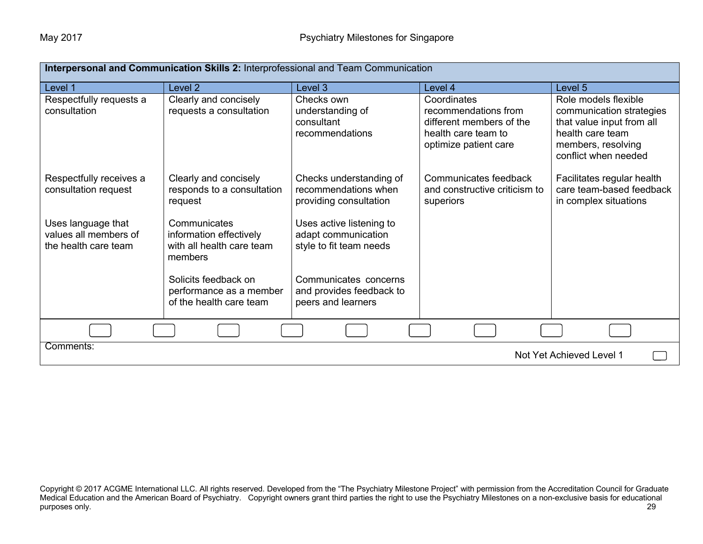| Interpersonal and Communication Skills 2: Interprofessional and Team Communication |                                                                                 |                                                                            |                                                                                                                 |                                                                                                                                                 |
|------------------------------------------------------------------------------------|---------------------------------------------------------------------------------|----------------------------------------------------------------------------|-----------------------------------------------------------------------------------------------------------------|-------------------------------------------------------------------------------------------------------------------------------------------------|
| Level 1                                                                            | Level <sub>2</sub>                                                              | Level 3                                                                    | Level 4                                                                                                         | Level 5                                                                                                                                         |
| Respectfully requests a<br>consultation                                            | Clearly and concisely<br>requests a consultation                                | Checks own<br>understanding of<br>consultant<br>recommendations            | Coordinates<br>recommendations from<br>different members of the<br>health care team to<br>optimize patient care | Role models flexible<br>communication strategies<br>that value input from all<br>health care team<br>members, resolving<br>conflict when needed |
| Respectfully receives a<br>consultation request                                    | Clearly and concisely<br>responds to a consultation<br>request                  | Checks understanding of<br>recommendations when<br>providing consultation  | Communicates feedback<br>and constructive criticism to<br>superiors                                             | Facilitates regular health<br>care team-based feedback<br>in complex situations                                                                 |
| Uses language that<br>values all members of<br>the health care team                | Communicates<br>information effectively<br>with all health care team<br>members | Uses active listening to<br>adapt communication<br>style to fit team needs |                                                                                                                 |                                                                                                                                                 |
|                                                                                    | Solicits feedback on<br>performance as a member<br>of the health care team      | Communicates concerns<br>and provides feedback to<br>peers and learners    |                                                                                                                 |                                                                                                                                                 |
|                                                                                    |                                                                                 |                                                                            |                                                                                                                 |                                                                                                                                                 |
| Comments:<br>Not Yet Achieved Level 1                                              |                                                                                 |                                                                            |                                                                                                                 |                                                                                                                                                 |